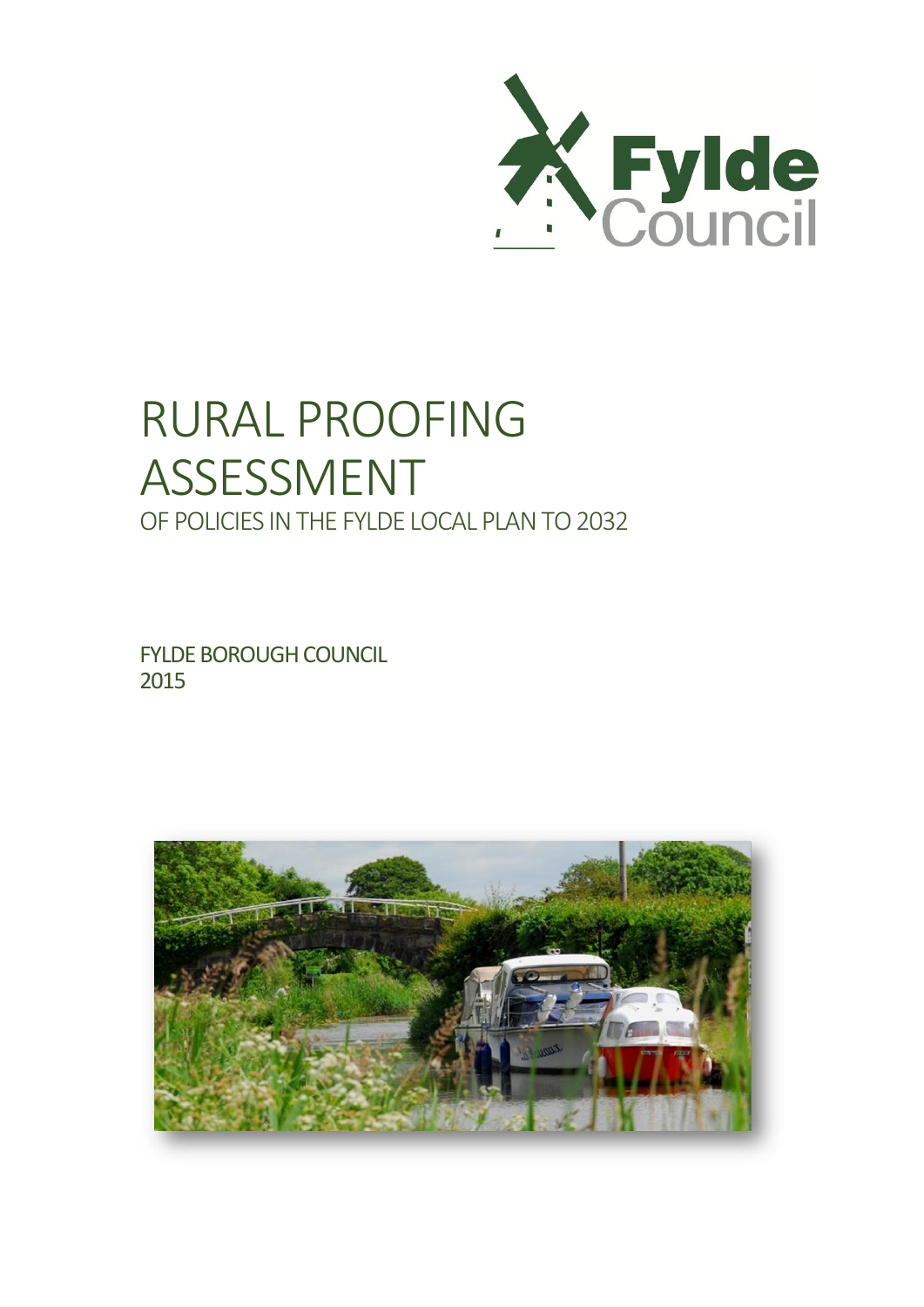

# RURAL PROOFING ASSESSMENT OF POLICIES IN THE FYLDE LOCAL PLAN TO 2032

FYLDE BOROUGH COUNCIL 2015

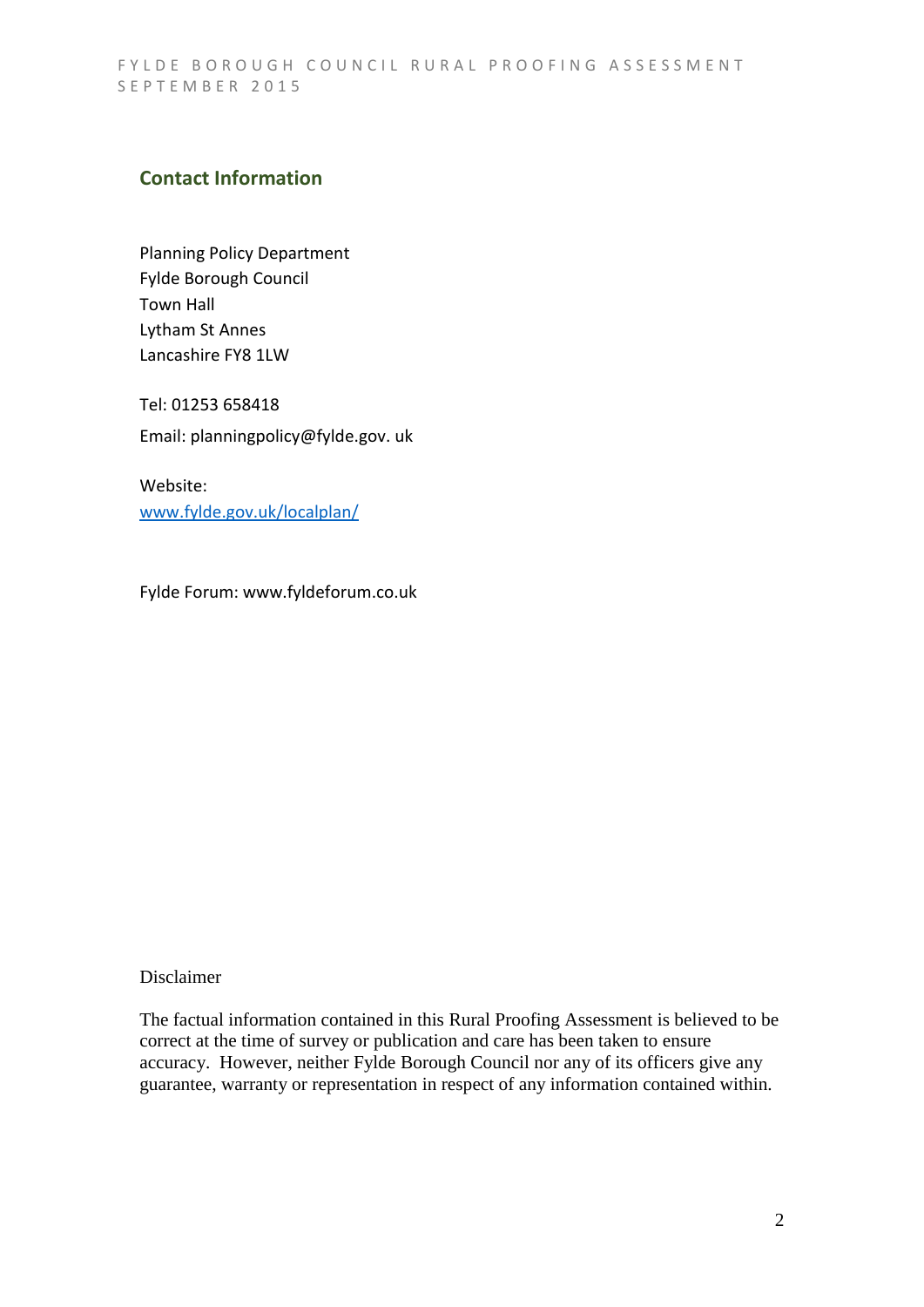## **Contact Information**

Planning Policy Department Fylde Borough Council Town Hall Lytham St Annes Lancashire FY8 1LW

Tel: 01253 658418 Email: planningpolicy@fylde.gov. uk

Website: [www.fylde.gov.uk/localplan/](http://www.fylde.gov.uk/localplan/)

Fylde Forum: www.fyldeforum.co.uk

#### Disclaimer

The factual information contained in this Rural Proofing Assessment is believed to be correct at the time of survey or publication and care has been taken to ensure accuracy. However, neither Fylde Borough Council nor any of its officers give any guarantee, warranty or representation in respect of any information contained within.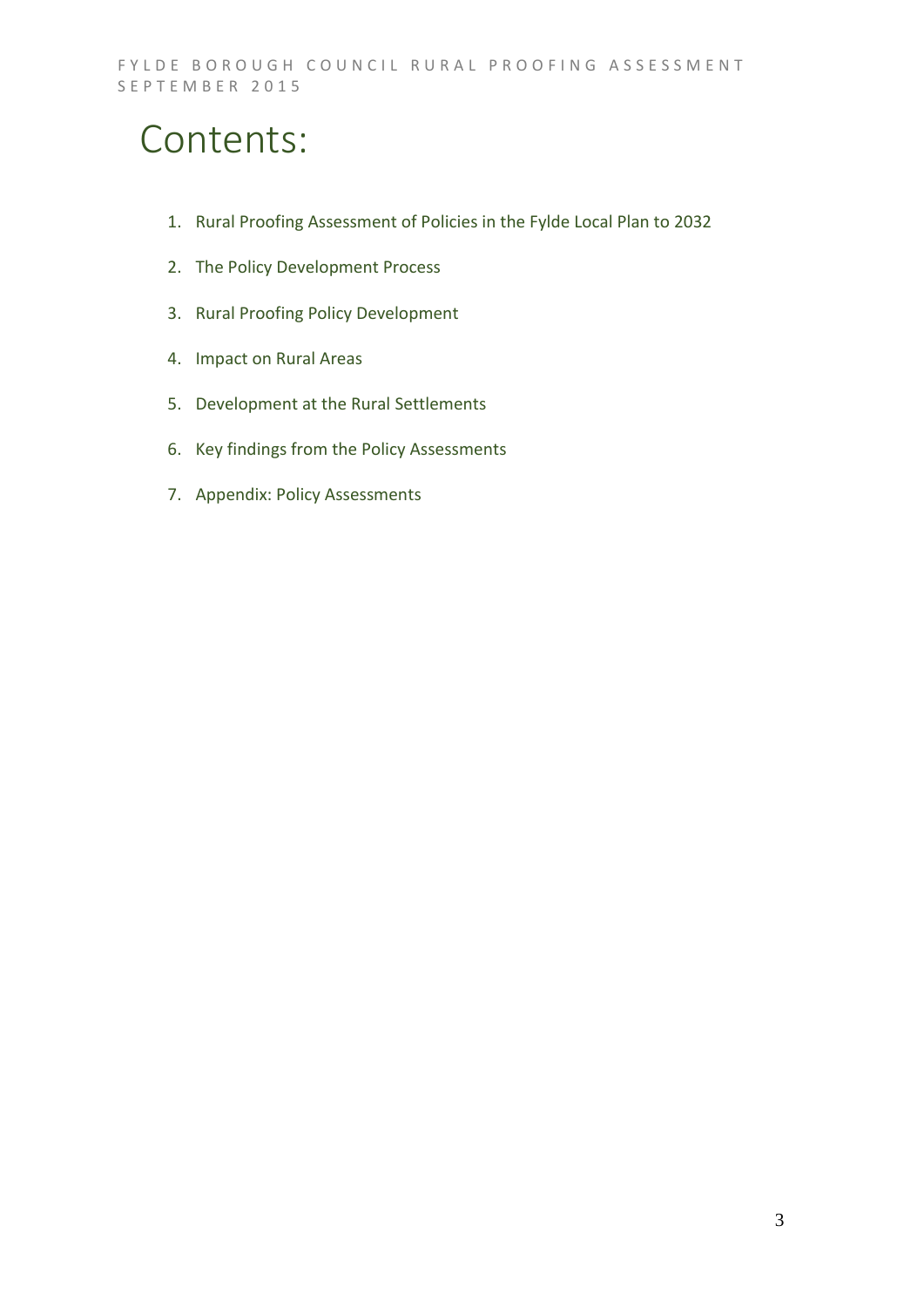## Contents:

- 1. Rural Proofing Assessment of Policies in the Fylde Local Plan to 2032
- 2. The Policy Development Process
- 3. Rural Proofing Policy Development
- 4. Impact on Rural Areas
- 5. Development at the Rural Settlements
- 6. Key findings from the Policy Assessments
- 7. Appendix: Policy Assessments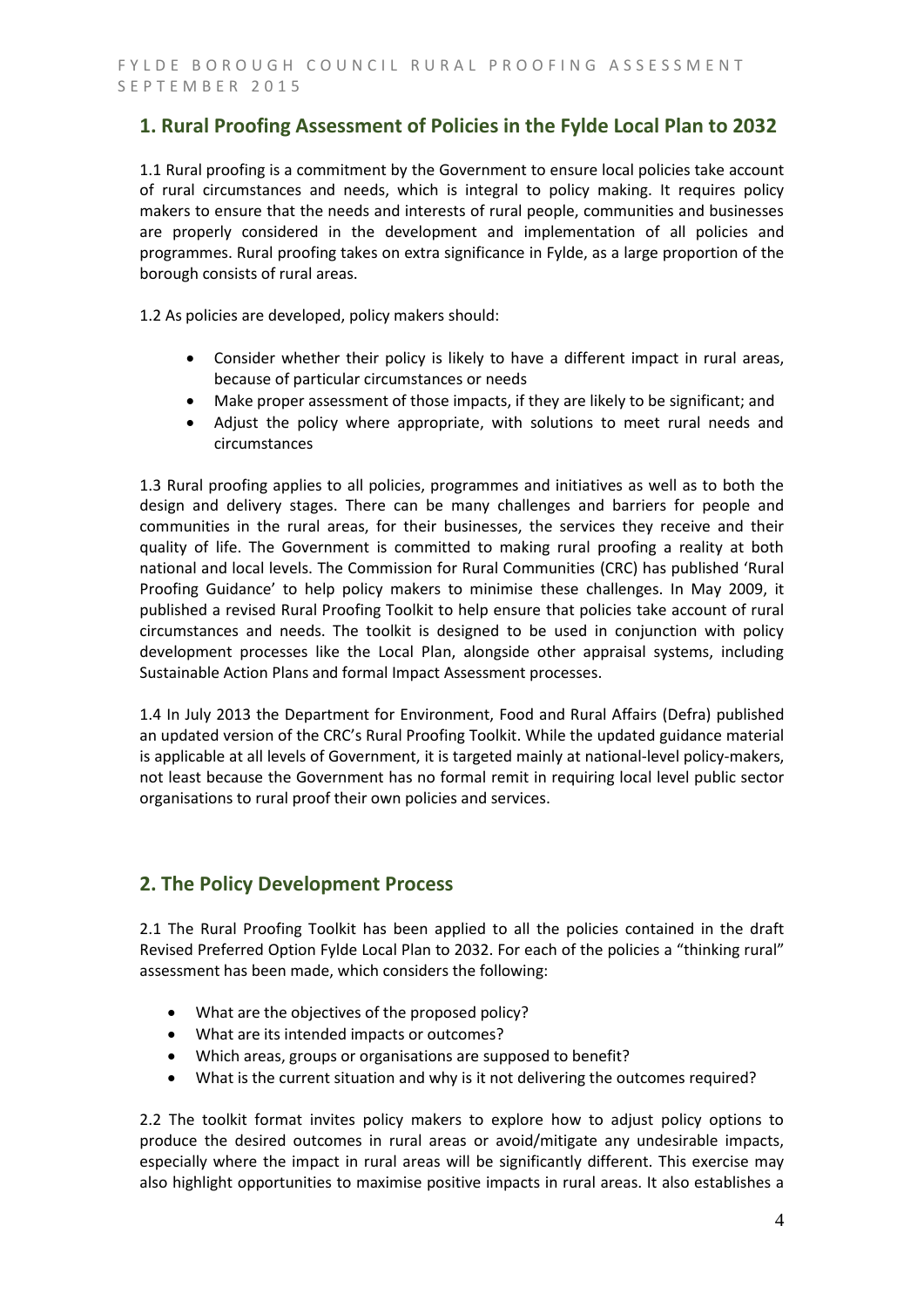## **1. Rural Proofing Assessment of Policies in the Fylde Local Plan to 2032**

1.1 Rural proofing is a commitment by the Government to ensure local policies take account of rural circumstances and needs, which is integral to policy making. It requires policy makers to ensure that the needs and interests of rural people, communities and businesses are properly considered in the development and implementation of all policies and programmes. Rural proofing takes on extra significance in Fylde, as a large proportion of the borough consists of rural areas.

1.2 As policies are developed, policy makers should:

- Consider whether their policy is likely to have a different impact in rural areas, because of particular circumstances or needs
- Make proper assessment of those impacts, if they are likely to be significant; and
- Adjust the policy where appropriate, with solutions to meet rural needs and circumstances

1.3 Rural proofing applies to all policies, programmes and initiatives as well as to both the design and delivery stages. There can be many challenges and barriers for people and communities in the rural areas, for their businesses, the services they receive and their quality of life. The Government is committed to making rural proofing a reality at both national and local levels. The Commission for Rural Communities (CRC) has published 'Rural Proofing Guidance' to help policy makers to minimise these challenges. In May 2009, it published a revised Rural Proofing Toolkit to help ensure that policies take account of rural circumstances and needs. The toolkit is designed to be used in conjunction with policy development processes like the Local Plan, alongside other appraisal systems, including Sustainable Action Plans and formal Impact Assessment processes.

1.4 In July 2013 the Department for Environment, Food and Rural Affairs (Defra) published an updated version of the CRC's Rural Proofing Toolkit. While the updated guidance material is applicable at all levels of Government, it is targeted mainly at national-level policy-makers, not least because the Government has no formal remit in requiring local level public sector organisations to rural proof their own policies and services.

## **2. The Policy Development Process**

2.1 The Rural Proofing Toolkit has been applied to all the policies contained in the draft Revised Preferred Option Fylde Local Plan to 2032. For each of the policies a "thinking rural" assessment has been made, which considers the following:

- What are the objectives of the proposed policy?
- What are its intended impacts or outcomes?
- Which areas, groups or organisations are supposed to benefit?
- What is the current situation and why is it not delivering the outcomes required?

2.2 The toolkit format invites policy makers to explore how to adjust policy options to produce the desired outcomes in rural areas or avoid/mitigate any undesirable impacts, especially where the impact in rural areas will be significantly different. This exercise may also highlight opportunities to maximise positive impacts in rural areas. It also establishes a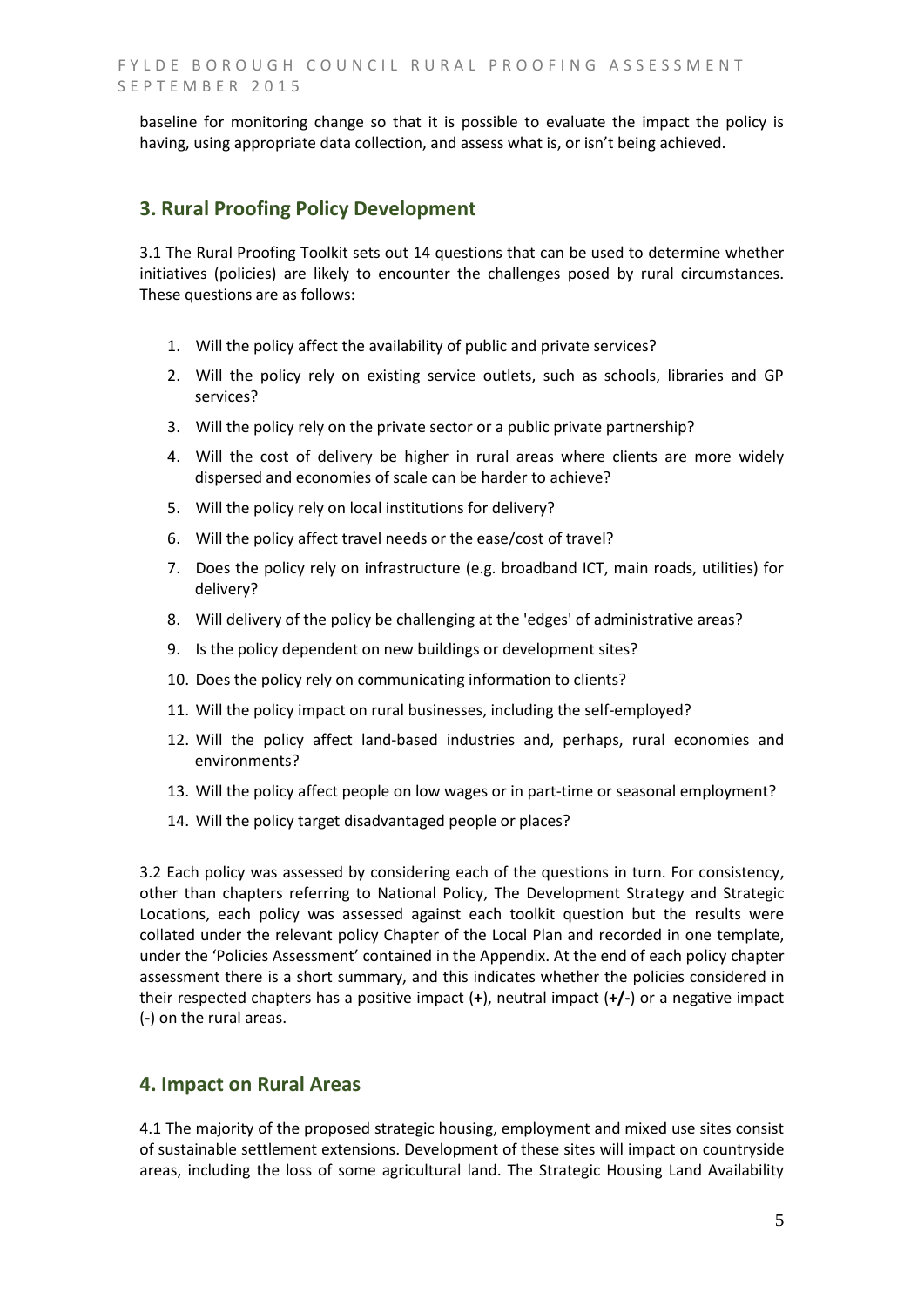baseline for monitoring change so that it is possible to evaluate the impact the policy is having, using appropriate data collection, and assess what is, or isn't being achieved.

### **3. Rural Proofing Policy Development**

3.1 The Rural Proofing Toolkit sets out 14 questions that can be used to determine whether initiatives (policies) are likely to encounter the challenges posed by rural circumstances. These questions are as follows:

- 1. Will the policy affect the availability of public and private services?
- 2. Will the policy rely on existing service outlets, such as schools, libraries and GP services?
- 3. Will the policy rely on the private sector or a public private partnership?
- 4. Will the cost of delivery be higher in rural areas where clients are more widely dispersed and economies of scale can be harder to achieve?
- 5. Will the policy rely on local institutions for delivery?
- 6. Will the policy affect travel needs or the ease/cost of travel?
- 7. Does the policy rely on infrastructure (e.g. broadband ICT, main roads, utilities) for delivery?
- 8. Will delivery of the policy be challenging at the 'edges' of administrative areas?
- 9. Is the policy dependent on new buildings or development sites?
- 10. Does the policy rely on communicating information to clients?
- 11. Will the policy impact on rural businesses, including the self-employed?
- 12. Will the policy affect land-based industries and, perhaps, rural economies and environments?
- 13. Will the policy affect people on low wages or in part-time or seasonal employment?
- 14. Will the policy target disadvantaged people or places?

3.2 Each policy was assessed by considering each of the questions in turn. For consistency, other than chapters referring to National Policy, The Development Strategy and Strategic Locations, each policy was assessed against each toolkit question but the results were collated under the relevant policy Chapter of the Local Plan and recorded in one template, under the 'Policies Assessment' contained in the Appendix. At the end of each policy chapter assessment there is a short summary, and this indicates whether the policies considered in their respected chapters has a positive impact (**+**), neutral impact (**+/-**) or a negative impact (**-**) on the rural areas.

## **4. Impact on Rural Areas**

4.1 The majority of the proposed strategic housing, employment and mixed use sites consist of sustainable settlement extensions. Development of these sites will impact on countryside areas, including the loss of some agricultural land. The Strategic Housing Land Availability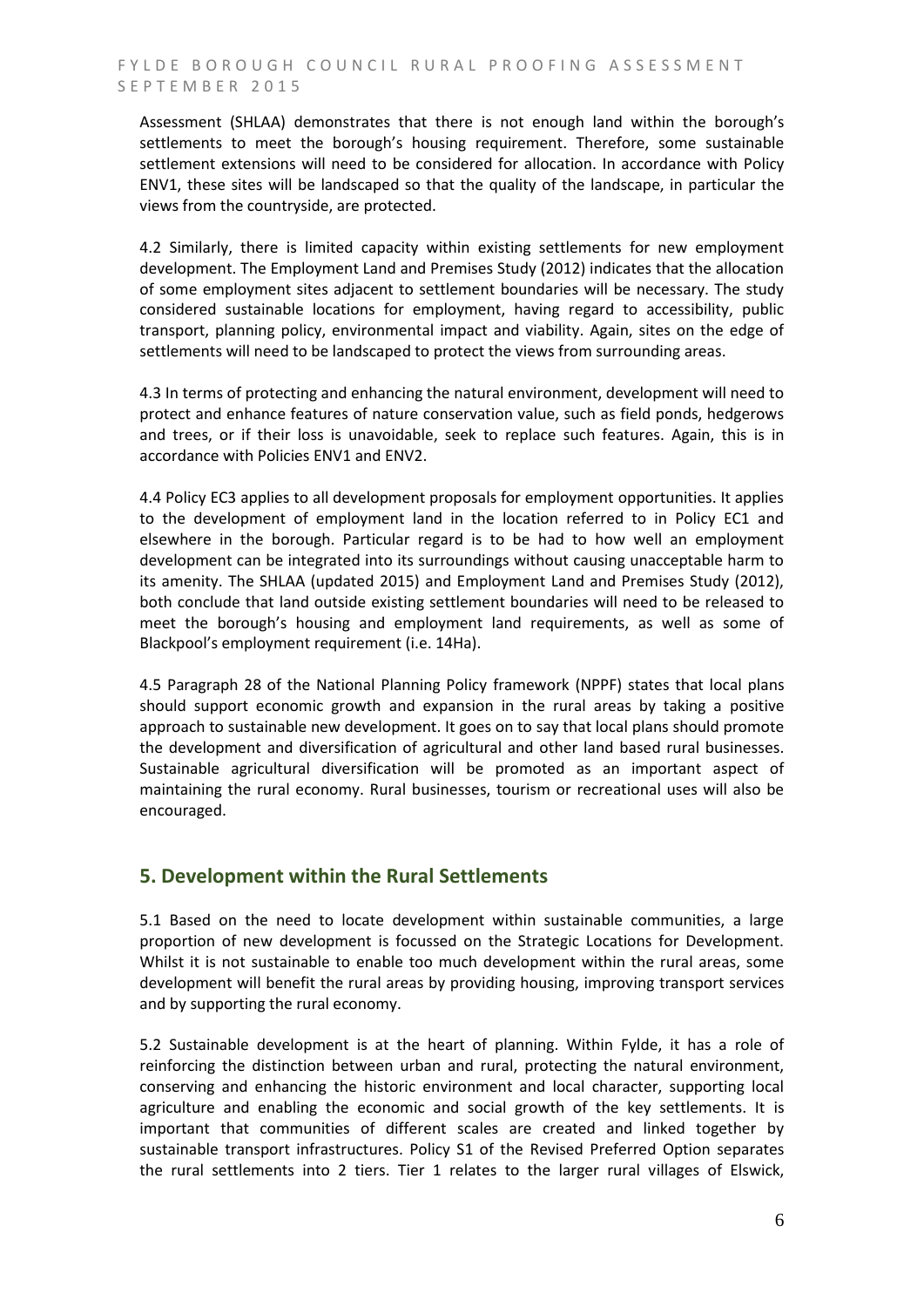Assessment (SHLAA) demonstrates that there is not enough land within the borough's settlements to meet the borough's housing requirement. Therefore, some sustainable settlement extensions will need to be considered for allocation. In accordance with Policy ENV1, these sites will be landscaped so that the quality of the landscape, in particular the views from the countryside, are protected.

4.2 Similarly, there is limited capacity within existing settlements for new employment development. The Employment Land and Premises Study (2012) indicates that the allocation of some employment sites adjacent to settlement boundaries will be necessary. The study considered sustainable locations for employment, having regard to accessibility, public transport, planning policy, environmental impact and viability. Again, sites on the edge of settlements will need to be landscaped to protect the views from surrounding areas.

4.3 In terms of protecting and enhancing the natural environment, development will need to protect and enhance features of nature conservation value, such as field ponds, hedgerows and trees, or if their loss is unavoidable, seek to replace such features. Again, this is in accordance with Policies ENV1 and ENV2.

4.4 Policy EC3 applies to all development proposals for employment opportunities. It applies to the development of employment land in the location referred to in Policy EC1 and elsewhere in the borough. Particular regard is to be had to how well an employment development can be integrated into its surroundings without causing unacceptable harm to its amenity. The SHLAA (updated 2015) and Employment Land and Premises Study (2012), both conclude that land outside existing settlement boundaries will need to be released to meet the borough's housing and employment land requirements, as well as some of Blackpool's employment requirement (i.e. 14Ha).

4.5 Paragraph 28 of the National Planning Policy framework (NPPF) states that local plans should support economic growth and expansion in the rural areas by taking a positive approach to sustainable new development. It goes on to say that local plans should promote the development and diversification of agricultural and other land based rural businesses. Sustainable agricultural diversification will be promoted as an important aspect of maintaining the rural economy. Rural businesses, tourism or recreational uses will also be encouraged.

## **5. Development within the Rural Settlements**

5.1 Based on the need to locate development within sustainable communities, a large proportion of new development is focussed on the Strategic Locations for Development. Whilst it is not sustainable to enable too much development within the rural areas, some development will benefit the rural areas by providing housing, improving transport services and by supporting the rural economy.

5.2 Sustainable development is at the heart of planning. Within Fylde, it has a role of reinforcing the distinction between urban and rural, protecting the natural environment, conserving and enhancing the historic environment and local character, supporting local agriculture and enabling the economic and social growth of the key settlements. It is important that communities of different scales are created and linked together by sustainable transport infrastructures. Policy S1 of the Revised Preferred Option separates the rural settlements into 2 tiers. Tier 1 relates to the larger rural villages of Elswick,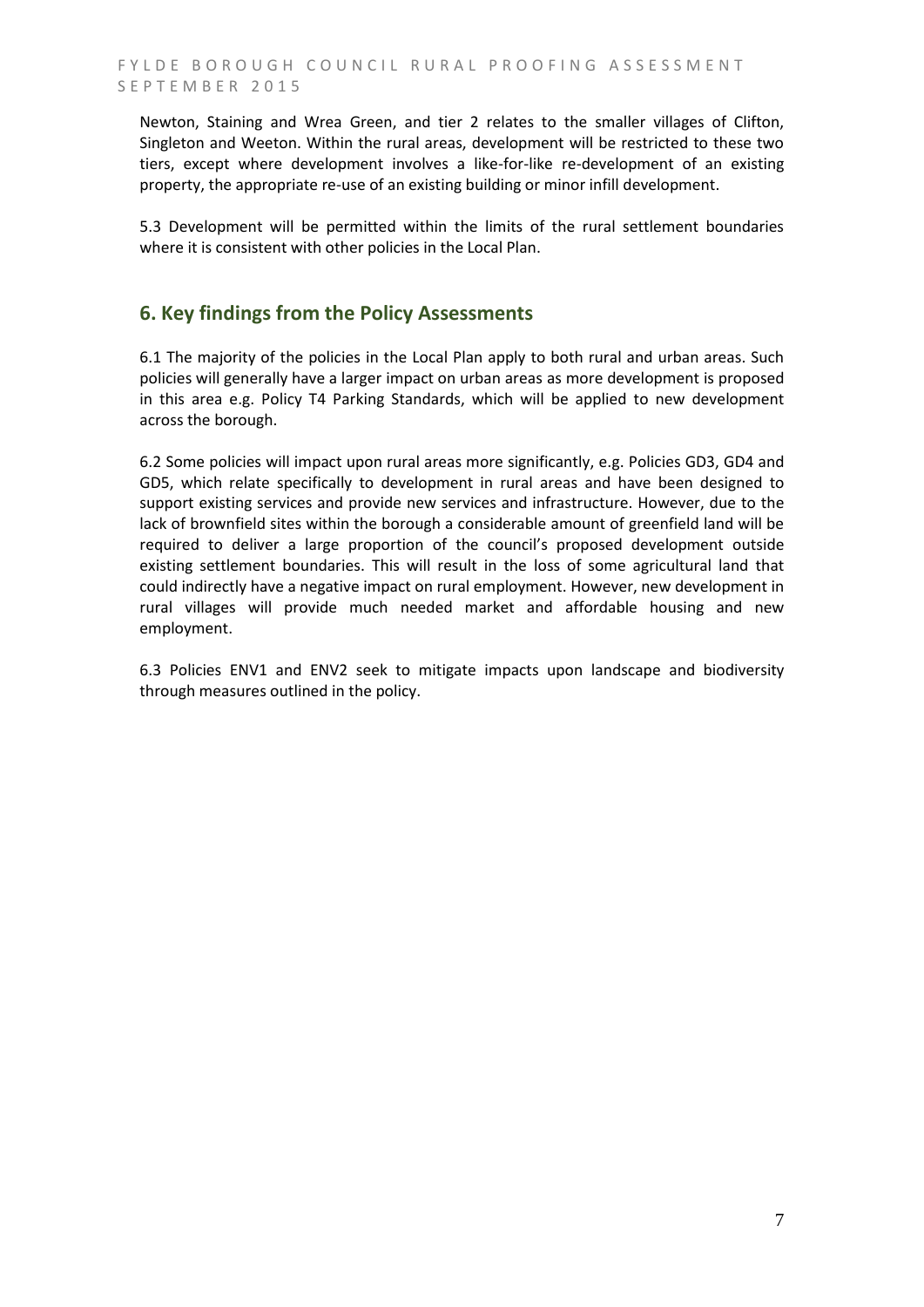Newton, Staining and Wrea Green, and tier 2 relates to the smaller villages of Clifton, Singleton and Weeton. Within the rural areas, development will be restricted to these two tiers, except where development involves a like-for-like re-development of an existing property, the appropriate re-use of an existing building or minor infill development.

5.3 Development will be permitted within the limits of the rural settlement boundaries where it is consistent with other policies in the Local Plan.

## **6. Key findings from the Policy Assessments**

6.1 The majority of the policies in the Local Plan apply to both rural and urban areas. Such policies will generally have a larger impact on urban areas as more development is proposed in this area e.g. Policy T4 Parking Standards, which will be applied to new development across the borough.

6.2 Some policies will impact upon rural areas more significantly, e.g. Policies GD3, GD4 and GD5, which relate specifically to development in rural areas and have been designed to support existing services and provide new services and infrastructure. However, due to the lack of brownfield sites within the borough a considerable amount of greenfield land will be required to deliver a large proportion of the council's proposed development outside existing settlement boundaries. This will result in the loss of some agricultural land that could indirectly have a negative impact on rural employment. However, new development in rural villages will provide much needed market and affordable housing and new employment.

6.3 Policies ENV1 and ENV2 seek to mitigate impacts upon landscape and biodiversity through measures outlined in the policy.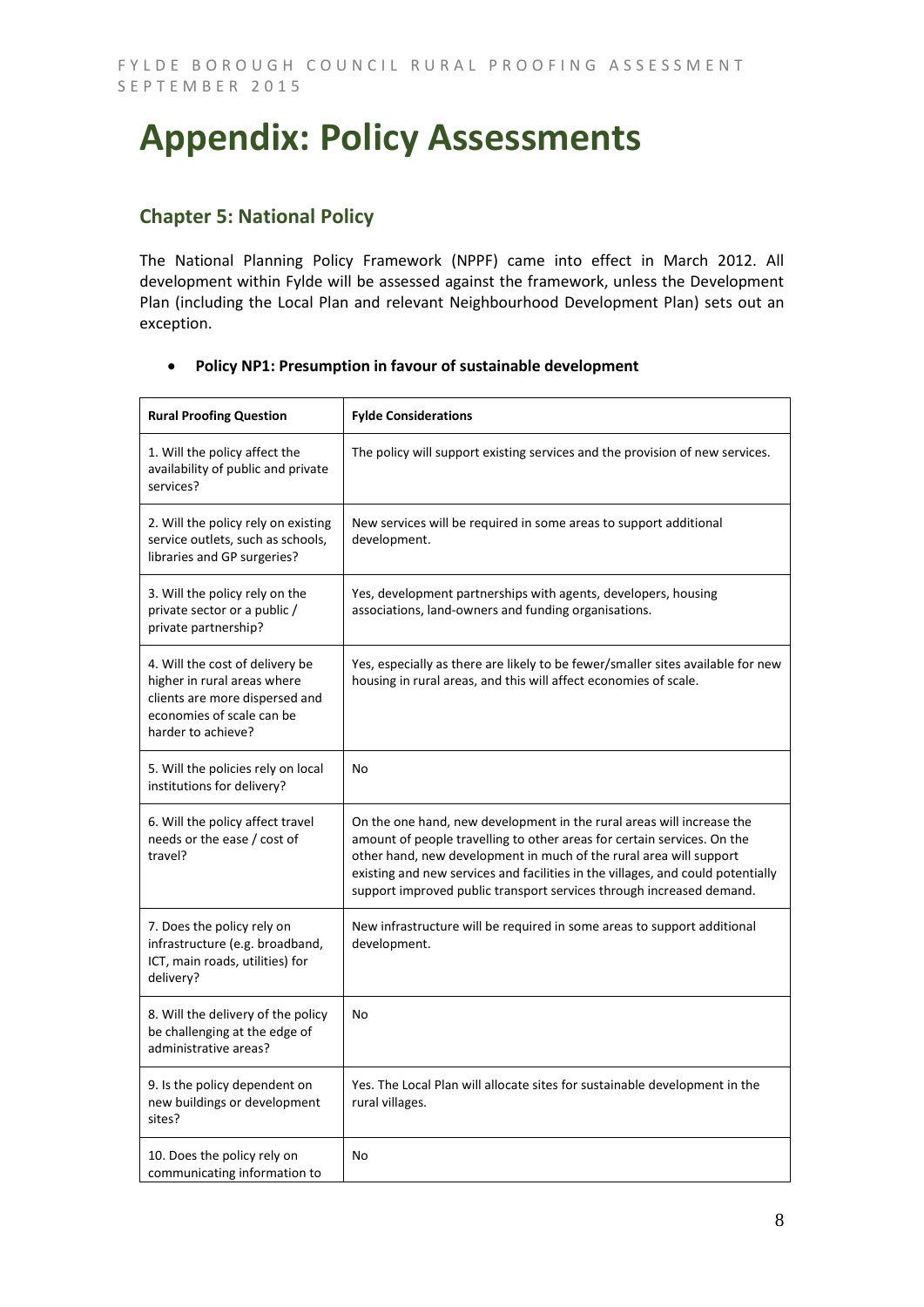## **Appendix: Policy Assessments**

## **Chapter 5: National Policy**

The National Planning Policy Framework (NPPF) came into effect in March 2012. All development within Fylde will be assessed against the framework, unless the Development Plan (including the Local Plan and relevant Neighbourhood Development Plan) sets out an exception.

| <b>Rural Proofing Question</b>                                                                                                                      | <b>Fylde Considerations</b>                                                                                                                                                                                                                                                                                                                                                       |
|-----------------------------------------------------------------------------------------------------------------------------------------------------|-----------------------------------------------------------------------------------------------------------------------------------------------------------------------------------------------------------------------------------------------------------------------------------------------------------------------------------------------------------------------------------|
| 1. Will the policy affect the<br>availability of public and private<br>services?                                                                    | The policy will support existing services and the provision of new services.                                                                                                                                                                                                                                                                                                      |
| 2. Will the policy rely on existing<br>service outlets, such as schools,<br>libraries and GP surgeries?                                             | New services will be required in some areas to support additional<br>development.                                                                                                                                                                                                                                                                                                 |
| 3. Will the policy rely on the<br>private sector or a public /<br>private partnership?                                                              | Yes, development partnerships with agents, developers, housing<br>associations, land-owners and funding organisations.                                                                                                                                                                                                                                                            |
| 4. Will the cost of delivery be<br>higher in rural areas where<br>clients are more dispersed and<br>economies of scale can be<br>harder to achieve? | Yes, especially as there are likely to be fewer/smaller sites available for new<br>housing in rural areas, and this will affect economies of scale.                                                                                                                                                                                                                               |
| 5. Will the policies rely on local<br>institutions for delivery?                                                                                    | No                                                                                                                                                                                                                                                                                                                                                                                |
| 6. Will the policy affect travel<br>needs or the ease / cost of<br>travel?                                                                          | On the one hand, new development in the rural areas will increase the<br>amount of people travelling to other areas for certain services. On the<br>other hand, new development in much of the rural area will support<br>existing and new services and facilities in the villages, and could potentially<br>support improved public transport services through increased demand. |
| 7. Does the policy rely on<br>infrastructure (e.g. broadband,<br>ICT, main roads, utilities) for<br>delivery?                                       | New infrastructure will be required in some areas to support additional<br>development.                                                                                                                                                                                                                                                                                           |
| 8. Will the delivery of the policy<br>be challenging at the edge of<br>administrative areas?                                                        | No                                                                                                                                                                                                                                                                                                                                                                                |
| 9. Is the policy dependent on<br>new buildings or development<br>sites?                                                                             | Yes. The Local Plan will allocate sites for sustainable development in the<br>rural villages.                                                                                                                                                                                                                                                                                     |
| 10. Does the policy rely on<br>communicating information to                                                                                         | No                                                                                                                                                                                                                                                                                                                                                                                |

#### **Policy NP1: Presumption in favour of sustainable development**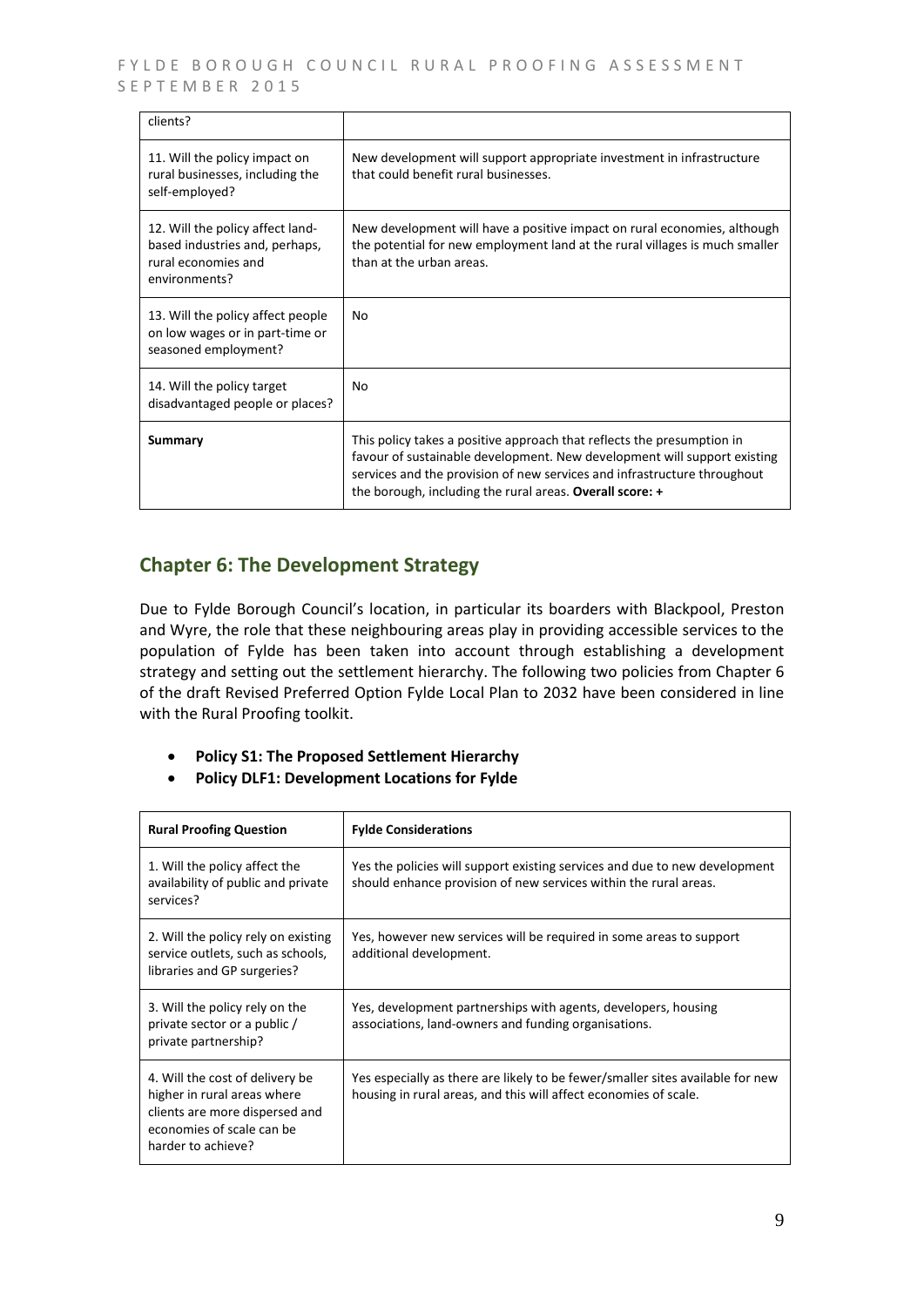FYLDE BOROUGH COUNCIL RURAL PROOFING ASSESSMENT SEPTEMBER 2015

| clients?                                                                                                   |                                                                                                                                                                                                                                                                                            |
|------------------------------------------------------------------------------------------------------------|--------------------------------------------------------------------------------------------------------------------------------------------------------------------------------------------------------------------------------------------------------------------------------------------|
| 11. Will the policy impact on<br>rural businesses, including the<br>self-employed?                         | New development will support appropriate investment in infrastructure<br>that could benefit rural businesses.                                                                                                                                                                              |
| 12. Will the policy affect land-<br>based industries and, perhaps,<br>rural economies and<br>environments? | New development will have a positive impact on rural economies, although<br>the potential for new employment land at the rural villages is much smaller<br>than at the urban areas.                                                                                                        |
| 13. Will the policy affect people<br>on low wages or in part-time or<br>seasoned employment?               | No                                                                                                                                                                                                                                                                                         |
| 14. Will the policy target<br>disadvantaged people or places?                                              | No                                                                                                                                                                                                                                                                                         |
| Summary                                                                                                    | This policy takes a positive approach that reflects the presumption in<br>favour of sustainable development. New development will support existing<br>services and the provision of new services and infrastructure throughout<br>the borough, including the rural areas. Overall score: + |

## **Chapter 6: The Development Strategy**

Due to Fylde Borough Council's location, in particular its boarders with Blackpool, Preston and Wyre, the role that these neighbouring areas play in providing accessible services to the population of Fylde has been taken into account through establishing a development strategy and setting out the settlement hierarchy. The following two policies from Chapter 6 of the draft Revised Preferred Option Fylde Local Plan to 2032 have been considered in line with the Rural Proofing toolkit.

- **Policy S1: The Proposed Settlement Hierarchy**
- **Policy DLF1: Development Locations for Fylde**

| <b>Rural Proofing Question</b>                                                                                                                      | <b>Fylde Considerations</b>                                                                                                                        |
|-----------------------------------------------------------------------------------------------------------------------------------------------------|----------------------------------------------------------------------------------------------------------------------------------------------------|
| 1. Will the policy affect the<br>availability of public and private<br>services?                                                                    | Yes the policies will support existing services and due to new development<br>should enhance provision of new services within the rural areas.     |
| 2. Will the policy rely on existing<br>service outlets, such as schools,<br>libraries and GP surgeries?                                             | Yes, however new services will be required in some areas to support<br>additional development.                                                     |
| 3. Will the policy rely on the<br>private sector or a public /<br>private partnership?                                                              | Yes, development partnerships with agents, developers, housing<br>associations, land-owners and funding organisations.                             |
| 4. Will the cost of delivery be<br>higher in rural areas where<br>clients are more dispersed and<br>economies of scale can be<br>harder to achieve? | Yes especially as there are likely to be fewer/smaller sites available for new<br>housing in rural areas, and this will affect economies of scale. |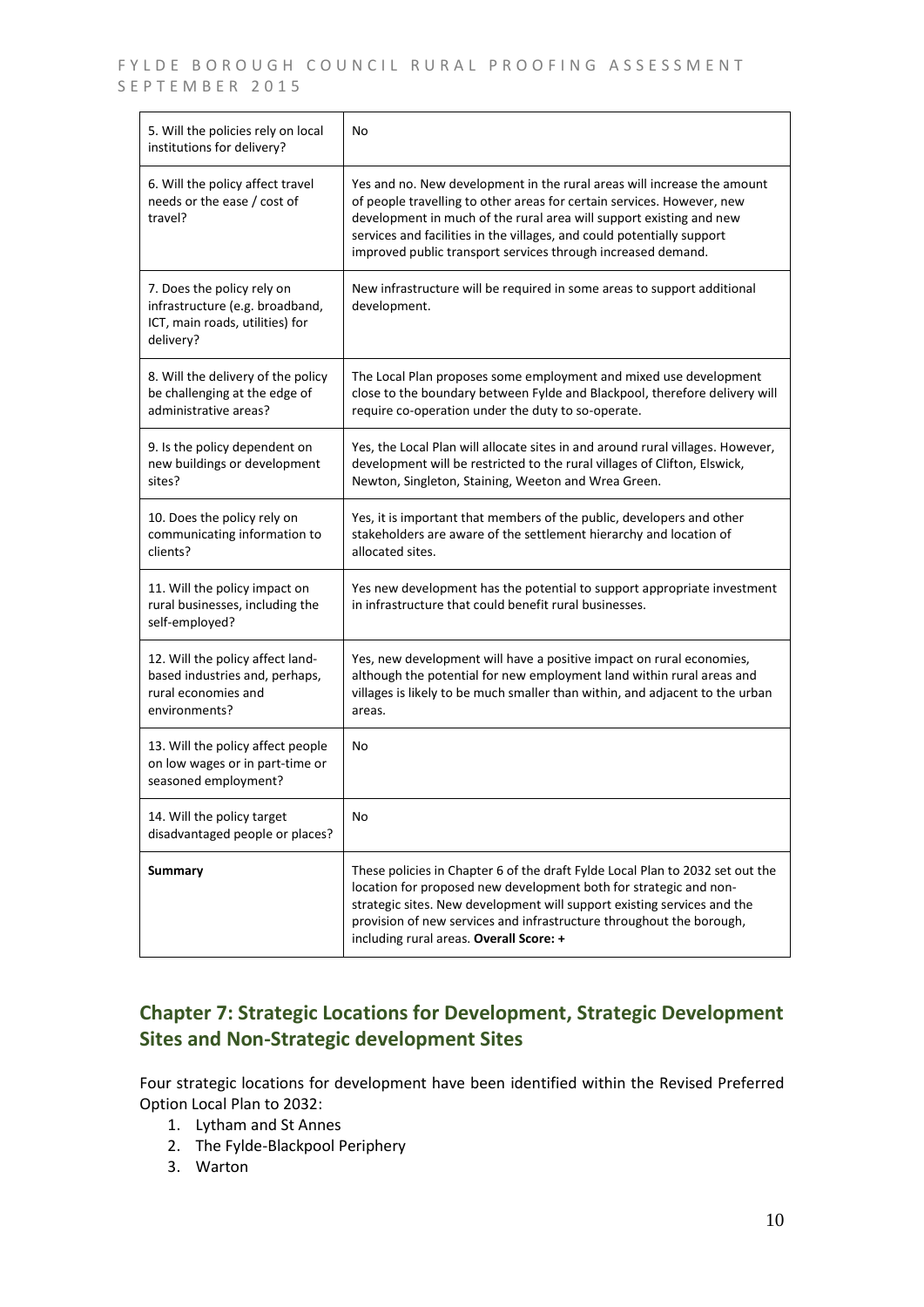#### FYLDE BOROUGH COUNCIL RURAL PROOFING ASSESSMENT SEPTEMBER 2015

| 5. Will the policies rely on local<br>institutions for delivery?                                              | No                                                                                                                                                                                                                                                                                                                                                                 |
|---------------------------------------------------------------------------------------------------------------|--------------------------------------------------------------------------------------------------------------------------------------------------------------------------------------------------------------------------------------------------------------------------------------------------------------------------------------------------------------------|
| 6. Will the policy affect travel<br>needs or the ease / cost of<br>travel?                                    | Yes and no. New development in the rural areas will increase the amount<br>of people travelling to other areas for certain services. However, new<br>development in much of the rural area will support existing and new<br>services and facilities in the villages, and could potentially support<br>improved public transport services through increased demand. |
| 7. Does the policy rely on<br>infrastructure (e.g. broadband,<br>ICT, main roads, utilities) for<br>delivery? | New infrastructure will be required in some areas to support additional<br>development.                                                                                                                                                                                                                                                                            |
| 8. Will the delivery of the policy<br>be challenging at the edge of<br>administrative areas?                  | The Local Plan proposes some employment and mixed use development<br>close to the boundary between Fylde and Blackpool, therefore delivery will<br>require co-operation under the duty to so-operate.                                                                                                                                                              |
| 9. Is the policy dependent on<br>new buildings or development<br>sites?                                       | Yes, the Local Plan will allocate sites in and around rural villages. However,<br>development will be restricted to the rural villages of Clifton, Elswick,<br>Newton, Singleton, Staining, Weeton and Wrea Green.                                                                                                                                                 |
| 10. Does the policy rely on<br>communicating information to<br>clients?                                       | Yes, it is important that members of the public, developers and other<br>stakeholders are aware of the settlement hierarchy and location of<br>allocated sites.                                                                                                                                                                                                    |
| 11. Will the policy impact on<br>rural businesses, including the<br>self-employed?                            | Yes new development has the potential to support appropriate investment<br>in infrastructure that could benefit rural businesses.                                                                                                                                                                                                                                  |
| 12. Will the policy affect land-<br>based industries and, perhaps,<br>rural economies and<br>environments?    | Yes, new development will have a positive impact on rural economies,<br>although the potential for new employment land within rural areas and<br>villages is likely to be much smaller than within, and adjacent to the urban<br>areas.                                                                                                                            |
| 13. Will the policy affect people<br>on low wages or in part-time or<br>seasoned employment?                  | No                                                                                                                                                                                                                                                                                                                                                                 |
| 14. Will the policy target<br>disadvantaged people or places?                                                 | No                                                                                                                                                                                                                                                                                                                                                                 |
| Summary                                                                                                       | These policies in Chapter 6 of the draft Fylde Local Plan to 2032 set out the<br>location for proposed new development both for strategic and non-<br>strategic sites. New development will support existing services and the<br>provision of new services and infrastructure throughout the borough,<br>including rural areas. Overall Score: +                   |

## **Chapter 7: Strategic Locations for Development, Strategic Development Sites and Non-Strategic development Sites**

Four strategic locations for development have been identified within the Revised Preferred Option Local Plan to 2032:

- 1. Lytham and St Annes
- 2. The Fylde-Blackpool Periphery
- 3. Warton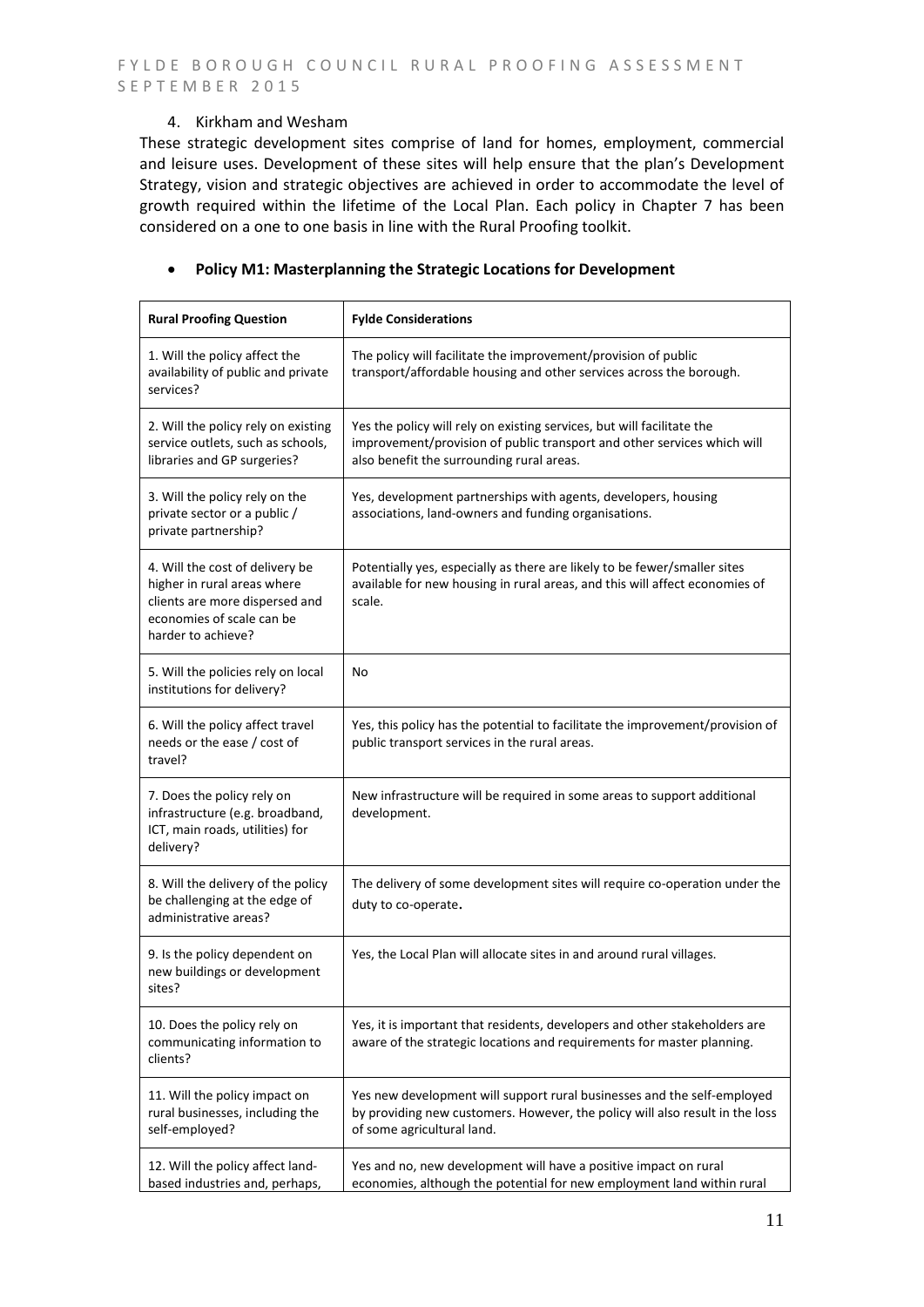#### 4. Kirkham and Wesham

These strategic development sites comprise of land for homes, employment, commercial and leisure uses. Development of these sites will help ensure that the plan's Development Strategy, vision and strategic objectives are achieved in order to accommodate the level of growth required within the lifetime of the Local Plan. Each policy in Chapter 7 has been considered on a one to one basis in line with the Rural Proofing toolkit.

#### **Policy M1: Masterplanning the Strategic Locations for Development**

| <b>Rural Proofing Question</b>                                                                                                                      | <b>Fylde Considerations</b>                                                                                                                                                                    |
|-----------------------------------------------------------------------------------------------------------------------------------------------------|------------------------------------------------------------------------------------------------------------------------------------------------------------------------------------------------|
| 1. Will the policy affect the<br>availability of public and private<br>services?                                                                    | The policy will facilitate the improvement/provision of public<br>transport/affordable housing and other services across the borough.                                                          |
| 2. Will the policy rely on existing<br>service outlets, such as schools,<br>libraries and GP surgeries?                                             | Yes the policy will rely on existing services, but will facilitate the<br>improvement/provision of public transport and other services which will<br>also benefit the surrounding rural areas. |
| 3. Will the policy rely on the<br>private sector or a public /<br>private partnership?                                                              | Yes, development partnerships with agents, developers, housing<br>associations, land-owners and funding organisations.                                                                         |
| 4. Will the cost of delivery be<br>higher in rural areas where<br>clients are more dispersed and<br>economies of scale can be<br>harder to achieve? | Potentially yes, especially as there are likely to be fewer/smaller sites<br>available for new housing in rural areas, and this will affect economies of<br>scale.                             |
| 5. Will the policies rely on local<br>institutions for delivery?                                                                                    | No                                                                                                                                                                                             |
| 6. Will the policy affect travel<br>needs or the ease / cost of<br>travel?                                                                          | Yes, this policy has the potential to facilitate the improvement/provision of<br>public transport services in the rural areas.                                                                 |
| 7. Does the policy rely on<br>infrastructure (e.g. broadband,<br>ICT, main roads, utilities) for<br>delivery?                                       | New infrastructure will be required in some areas to support additional<br>development.                                                                                                        |
| 8. Will the delivery of the policy<br>be challenging at the edge of<br>administrative areas?                                                        | The delivery of some development sites will require co-operation under the<br>duty to co-operate.                                                                                              |
| 9. Is the policy dependent on<br>new buildings or development<br>sites?                                                                             | Yes, the Local Plan will allocate sites in and around rural villages.                                                                                                                          |
| 10. Does the policy rely on<br>communicating information to<br>clients?                                                                             | Yes, it is important that residents, developers and other stakeholders are<br>aware of the strategic locations and requirements for master planning.                                           |
| 11. Will the policy impact on<br>rural businesses, including the<br>self-employed?                                                                  | Yes new development will support rural businesses and the self-employed<br>by providing new customers. However, the policy will also result in the loss<br>of some agricultural land.          |
| 12. Will the policy affect land-<br>based industries and, perhaps,                                                                                  | Yes and no, new development will have a positive impact on rural<br>economies, although the potential for new employment land within rural                                                     |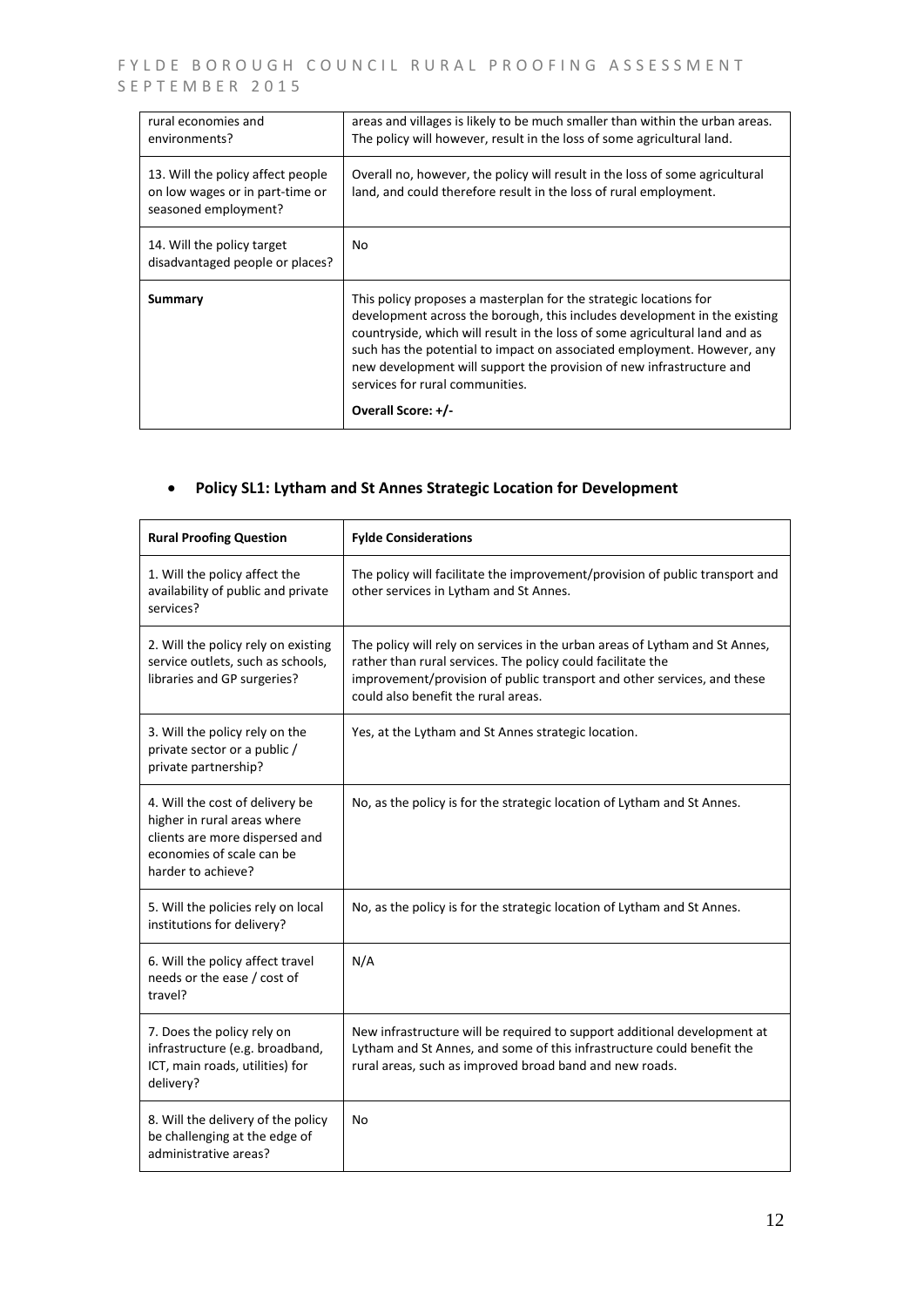| rural economies and<br>environments?                                                         | areas and villages is likely to be much smaller than within the urban areas.<br>The policy will however, result in the loss of some agricultural land.                                                                                                                                                                                                                                                                                    |
|----------------------------------------------------------------------------------------------|-------------------------------------------------------------------------------------------------------------------------------------------------------------------------------------------------------------------------------------------------------------------------------------------------------------------------------------------------------------------------------------------------------------------------------------------|
| 13. Will the policy affect people<br>on low wages or in part-time or<br>seasoned employment? | Overall no, however, the policy will result in the loss of some agricultural<br>land, and could therefore result in the loss of rural employment.                                                                                                                                                                                                                                                                                         |
| 14. Will the policy target<br>disadvantaged people or places?                                | No                                                                                                                                                                                                                                                                                                                                                                                                                                        |
| Summary                                                                                      | This policy proposes a masterplan for the strategic locations for<br>development across the borough, this includes development in the existing<br>countryside, which will result in the loss of some agricultural land and as<br>such has the potential to impact on associated employment. However, any<br>new development will support the provision of new infrastructure and<br>services for rural communities.<br>Overall Score: +/- |

## **Policy SL1: Lytham and St Annes Strategic Location for Development**

| <b>Rural Proofing Question</b>                                                                                                                      | <b>Fylde Considerations</b>                                                                                                                                                                                                                                  |
|-----------------------------------------------------------------------------------------------------------------------------------------------------|--------------------------------------------------------------------------------------------------------------------------------------------------------------------------------------------------------------------------------------------------------------|
| 1. Will the policy affect the<br>availability of public and private<br>services?                                                                    | The policy will facilitate the improvement/provision of public transport and<br>other services in Lytham and St Annes.                                                                                                                                       |
| 2. Will the policy rely on existing<br>service outlets, such as schools,<br>libraries and GP surgeries?                                             | The policy will rely on services in the urban areas of Lytham and St Annes,<br>rather than rural services. The policy could facilitate the<br>improvement/provision of public transport and other services, and these<br>could also benefit the rural areas. |
| 3. Will the policy rely on the<br>private sector or a public /<br>private partnership?                                                              | Yes, at the Lytham and St Annes strategic location.                                                                                                                                                                                                          |
| 4. Will the cost of delivery be<br>higher in rural areas where<br>clients are more dispersed and<br>economies of scale can be<br>harder to achieve? | No, as the policy is for the strategic location of Lytham and St Annes.                                                                                                                                                                                      |
| 5. Will the policies rely on local<br>institutions for delivery?                                                                                    | No, as the policy is for the strategic location of Lytham and St Annes.                                                                                                                                                                                      |
| 6. Will the policy affect travel<br>needs or the ease / cost of<br>travel?                                                                          | N/A                                                                                                                                                                                                                                                          |
| 7. Does the policy rely on<br>infrastructure (e.g. broadband,<br>ICT, main roads, utilities) for<br>delivery?                                       | New infrastructure will be required to support additional development at<br>Lytham and St Annes, and some of this infrastructure could benefit the<br>rural areas, such as improved broad band and new roads.                                                |
| 8. Will the delivery of the policy<br>be challenging at the edge of<br>administrative areas?                                                        | No                                                                                                                                                                                                                                                           |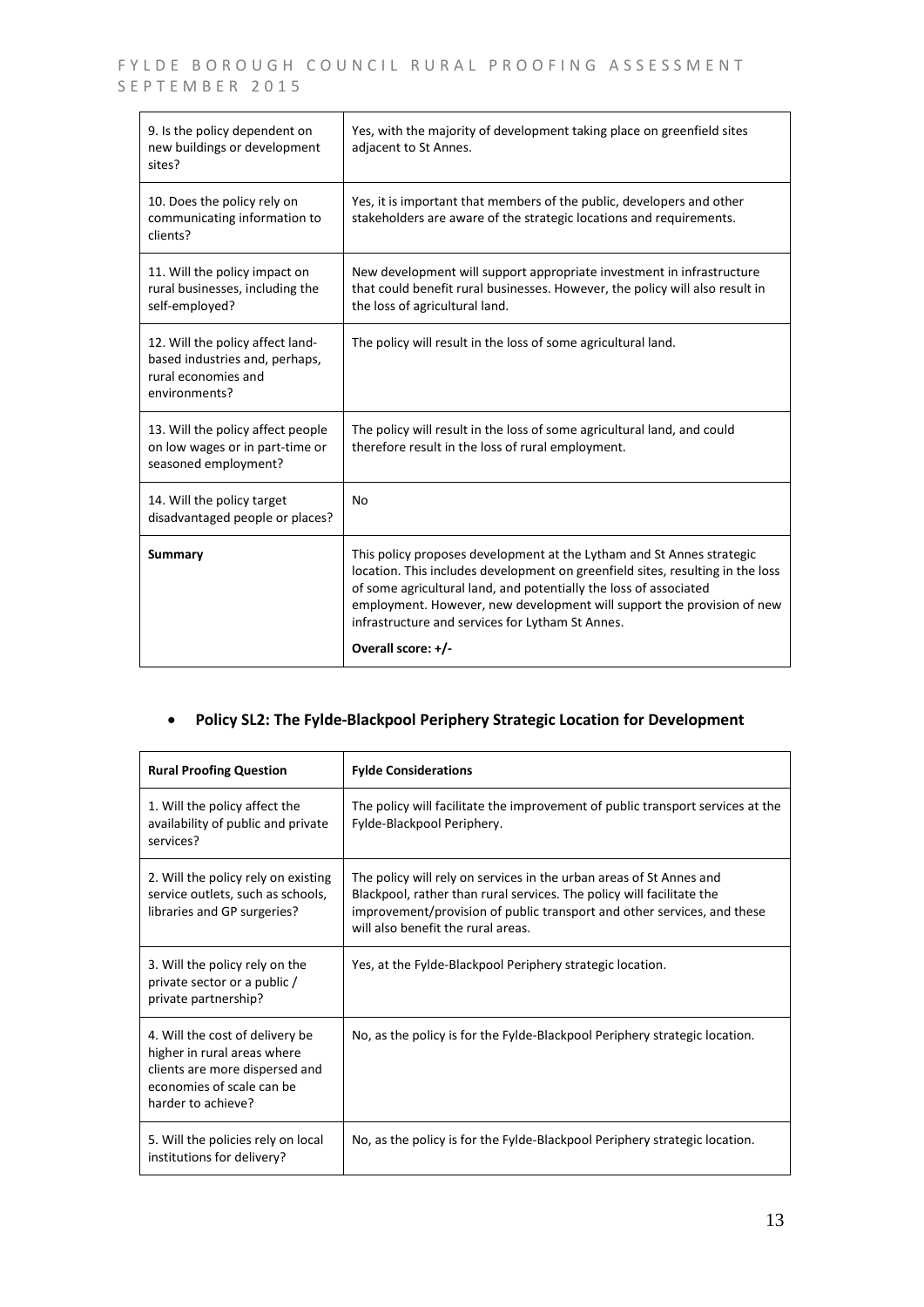| 9. Is the policy dependent on<br>new buildings or development<br>sites?                                    | Yes, with the majority of development taking place on greenfield sites<br>adjacent to St Annes.                                                                                                                                                                                                                                                                                  |
|------------------------------------------------------------------------------------------------------------|----------------------------------------------------------------------------------------------------------------------------------------------------------------------------------------------------------------------------------------------------------------------------------------------------------------------------------------------------------------------------------|
| 10. Does the policy rely on<br>communicating information to<br>clients?                                    | Yes, it is important that members of the public, developers and other<br>stakeholders are aware of the strategic locations and requirements.                                                                                                                                                                                                                                     |
| 11. Will the policy impact on<br>rural businesses, including the<br>self-employed?                         | New development will support appropriate investment in infrastructure<br>that could benefit rural businesses. However, the policy will also result in<br>the loss of agricultural land.                                                                                                                                                                                          |
| 12. Will the policy affect land-<br>based industries and, perhaps,<br>rural economies and<br>environments? | The policy will result in the loss of some agricultural land.                                                                                                                                                                                                                                                                                                                    |
| 13. Will the policy affect people<br>on low wages or in part-time or<br>seasoned employment?               | The policy will result in the loss of some agricultural land, and could<br>therefore result in the loss of rural employment.                                                                                                                                                                                                                                                     |
| 14. Will the policy target<br>disadvantaged people or places?                                              | <b>No</b>                                                                                                                                                                                                                                                                                                                                                                        |
| <b>Summary</b>                                                                                             | This policy proposes development at the Lytham and St Annes strategic<br>location. This includes development on greenfield sites, resulting in the loss<br>of some agricultural land, and potentially the loss of associated<br>employment. However, new development will support the provision of new<br>infrastructure and services for Lytham St Annes.<br>Overall score: +/- |

#### **Policy SL2: The Fylde-Blackpool Periphery Strategic Location for Development**

| <b>Rural Proofing Question</b>                                                                                                                      | <b>Fylde Considerations</b>                                                                                                                                                                                                                                   |
|-----------------------------------------------------------------------------------------------------------------------------------------------------|---------------------------------------------------------------------------------------------------------------------------------------------------------------------------------------------------------------------------------------------------------------|
| 1. Will the policy affect the<br>availability of public and private<br>services?                                                                    | The policy will facilitate the improvement of public transport services at the<br>Fylde-Blackpool Periphery.                                                                                                                                                  |
| 2. Will the policy rely on existing<br>service outlets, such as schools,<br>libraries and GP surgeries?                                             | The policy will rely on services in the urban areas of St Annes and<br>Blackpool, rather than rural services. The policy will facilitate the<br>improvement/provision of public transport and other services, and these<br>will also benefit the rural areas. |
| 3. Will the policy rely on the<br>private sector or a public /<br>private partnership?                                                              | Yes, at the Fylde-Blackpool Periphery strategic location.                                                                                                                                                                                                     |
| 4. Will the cost of delivery be<br>higher in rural areas where<br>clients are more dispersed and<br>economies of scale can be<br>harder to achieve? | No, as the policy is for the Fylde-Blackpool Periphery strategic location.                                                                                                                                                                                    |
| 5. Will the policies rely on local<br>institutions for delivery?                                                                                    | No, as the policy is for the Fylde-Blackpool Periphery strategic location.                                                                                                                                                                                    |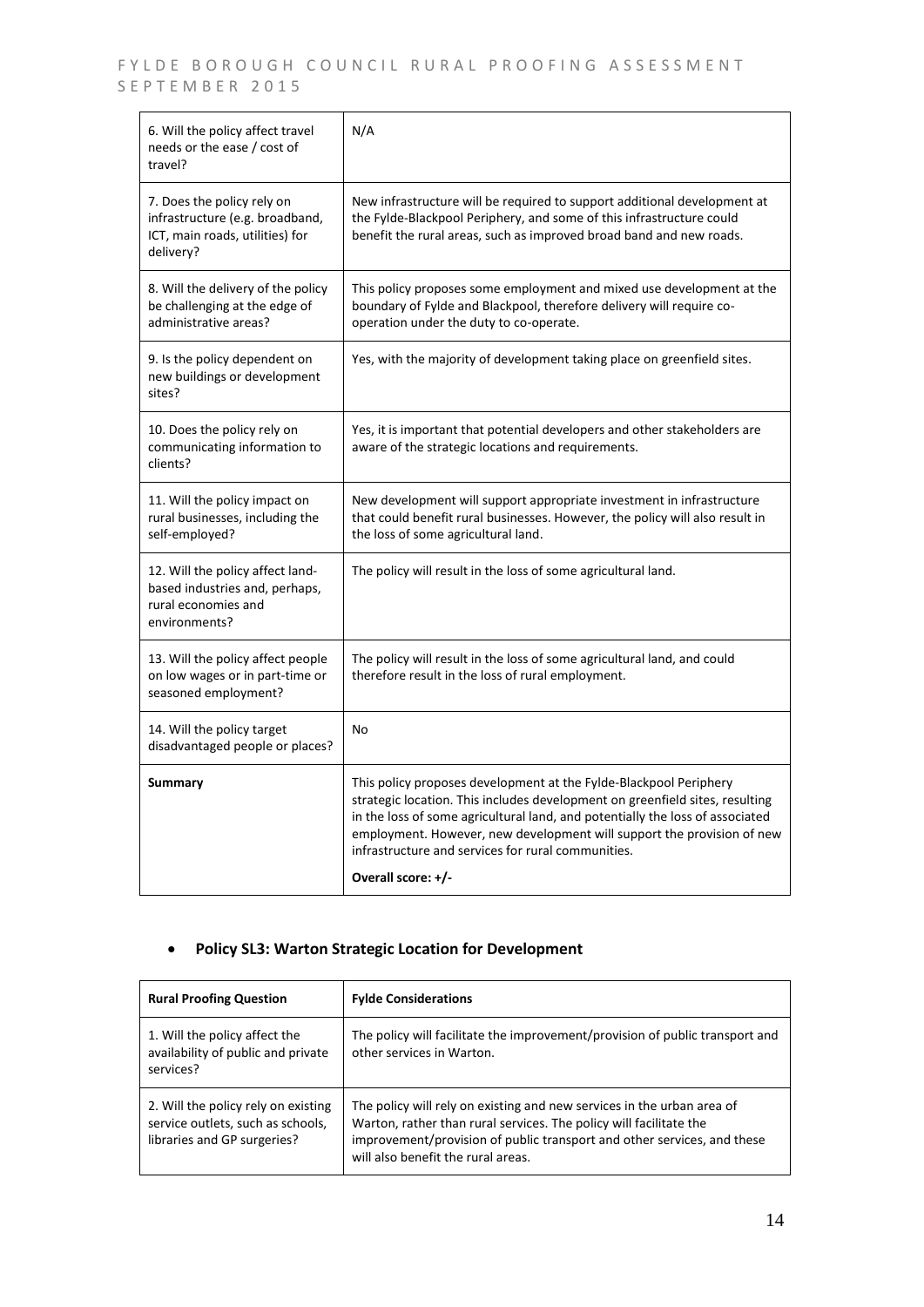| 6. Will the policy affect travel<br>needs or the ease / cost of<br>travel?                                    | N/A                                                                                                                                                                                                                                                                                                                                                                |
|---------------------------------------------------------------------------------------------------------------|--------------------------------------------------------------------------------------------------------------------------------------------------------------------------------------------------------------------------------------------------------------------------------------------------------------------------------------------------------------------|
| 7. Does the policy rely on<br>infrastructure (e.g. broadband,<br>ICT, main roads, utilities) for<br>delivery? | New infrastructure will be required to support additional development at<br>the Fylde-Blackpool Periphery, and some of this infrastructure could<br>benefit the rural areas, such as improved broad band and new roads.                                                                                                                                            |
| 8. Will the delivery of the policy<br>be challenging at the edge of<br>administrative areas?                  | This policy proposes some employment and mixed use development at the<br>boundary of Fylde and Blackpool, therefore delivery will require co-<br>operation under the duty to co-operate.                                                                                                                                                                           |
| 9. Is the policy dependent on<br>new buildings or development<br>sites?                                       | Yes, with the majority of development taking place on greenfield sites.                                                                                                                                                                                                                                                                                            |
| 10. Does the policy rely on<br>communicating information to<br>clients?                                       | Yes, it is important that potential developers and other stakeholders are<br>aware of the strategic locations and requirements.                                                                                                                                                                                                                                    |
| 11. Will the policy impact on<br>rural businesses, including the<br>self-employed?                            | New development will support appropriate investment in infrastructure<br>that could benefit rural businesses. However, the policy will also result in<br>the loss of some agricultural land.                                                                                                                                                                       |
| 12. Will the policy affect land-<br>based industries and, perhaps,<br>rural economies and<br>environments?    | The policy will result in the loss of some agricultural land.                                                                                                                                                                                                                                                                                                      |
| 13. Will the policy affect people<br>on low wages or in part-time or<br>seasoned employment?                  | The policy will result in the loss of some agricultural land, and could<br>therefore result in the loss of rural employment.                                                                                                                                                                                                                                       |
| 14. Will the policy target<br>disadvantaged people or places?                                                 | No                                                                                                                                                                                                                                                                                                                                                                 |
| <b>Summary</b>                                                                                                | This policy proposes development at the Fylde-Blackpool Periphery<br>strategic location. This includes development on greenfield sites, resulting<br>in the loss of some agricultural land, and potentially the loss of associated<br>employment. However, new development will support the provision of new<br>infrastructure and services for rural communities. |
|                                                                                                               | Overall score: +/-                                                                                                                                                                                                                                                                                                                                                 |

## **Policy SL3: Warton Strategic Location for Development**

| <b>Rural Proofing Question</b>                                                                          | <b>Fylde Considerations</b>                                                                                                                                                                                                                                   |
|---------------------------------------------------------------------------------------------------------|---------------------------------------------------------------------------------------------------------------------------------------------------------------------------------------------------------------------------------------------------------------|
| 1. Will the policy affect the<br>availability of public and private<br>services?                        | The policy will facilitate the improvement/provision of public transport and<br>other services in Warton.                                                                                                                                                     |
| 2. Will the policy rely on existing<br>service outlets, such as schools,<br>libraries and GP surgeries? | The policy will rely on existing and new services in the urban area of<br>Warton, rather than rural services. The policy will facilitate the<br>improvement/provision of public transport and other services, and these<br>will also benefit the rural areas. |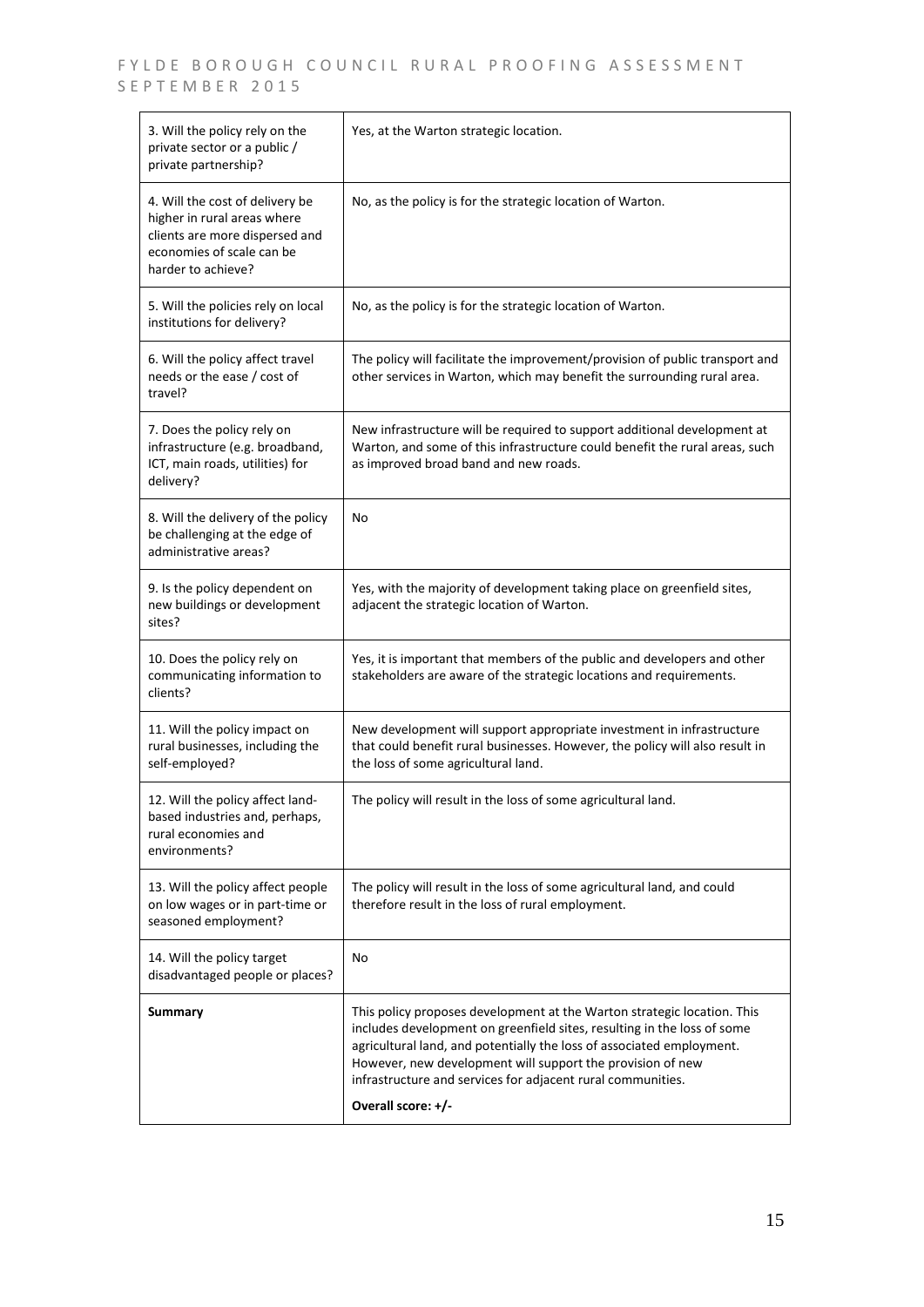| 3. Will the policy rely on the<br>private sector or a public /<br>private partnership?                                                              | Yes, at the Warton strategic location.                                                                                                                                                                                                                                                                                                                                         |
|-----------------------------------------------------------------------------------------------------------------------------------------------------|--------------------------------------------------------------------------------------------------------------------------------------------------------------------------------------------------------------------------------------------------------------------------------------------------------------------------------------------------------------------------------|
| 4. Will the cost of delivery be<br>higher in rural areas where<br>clients are more dispersed and<br>economies of scale can be<br>harder to achieve? | No, as the policy is for the strategic location of Warton.                                                                                                                                                                                                                                                                                                                     |
| 5. Will the policies rely on local<br>institutions for delivery?                                                                                    | No, as the policy is for the strategic location of Warton.                                                                                                                                                                                                                                                                                                                     |
| 6. Will the policy affect travel<br>needs or the ease / cost of<br>travel?                                                                          | The policy will facilitate the improvement/provision of public transport and<br>other services in Warton, which may benefit the surrounding rural area.                                                                                                                                                                                                                        |
| 7. Does the policy rely on<br>infrastructure (e.g. broadband,<br>ICT, main roads, utilities) for<br>delivery?                                       | New infrastructure will be required to support additional development at<br>Warton, and some of this infrastructure could benefit the rural areas, such<br>as improved broad band and new roads.                                                                                                                                                                               |
| 8. Will the delivery of the policy<br>be challenging at the edge of<br>administrative areas?                                                        | No                                                                                                                                                                                                                                                                                                                                                                             |
| 9. Is the policy dependent on<br>new buildings or development<br>sites?                                                                             | Yes, with the majority of development taking place on greenfield sites,<br>adjacent the strategic location of Warton.                                                                                                                                                                                                                                                          |
| 10. Does the policy rely on<br>communicating information to<br>clients?                                                                             | Yes, it is important that members of the public and developers and other<br>stakeholders are aware of the strategic locations and requirements.                                                                                                                                                                                                                                |
| 11. Will the policy impact on<br>rural businesses, including the<br>self-employed?                                                                  | New development will support appropriate investment in infrastructure<br>that could benefit rural businesses. However, the policy will also result in<br>the loss of some agricultural land.                                                                                                                                                                                   |
| 12. Will the policy affect land-<br>based industries and, perhaps,<br>rural economies and<br>environments?                                          | The policy will result in the loss of some agricultural land.                                                                                                                                                                                                                                                                                                                  |
| 13. Will the policy affect people<br>on low wages or in part-time or<br>seasoned employment?                                                        | The policy will result in the loss of some agricultural land, and could<br>therefore result in the loss of rural employment.                                                                                                                                                                                                                                                   |
| 14. Will the policy target<br>disadvantaged people or places?                                                                                       | No                                                                                                                                                                                                                                                                                                                                                                             |
| <b>Summary</b>                                                                                                                                      | This policy proposes development at the Warton strategic location. This<br>includes development on greenfield sites, resulting in the loss of some<br>agricultural land, and potentially the loss of associated employment.<br>However, new development will support the provision of new<br>infrastructure and services for adjacent rural communities.<br>Overall score: +/- |
|                                                                                                                                                     |                                                                                                                                                                                                                                                                                                                                                                                |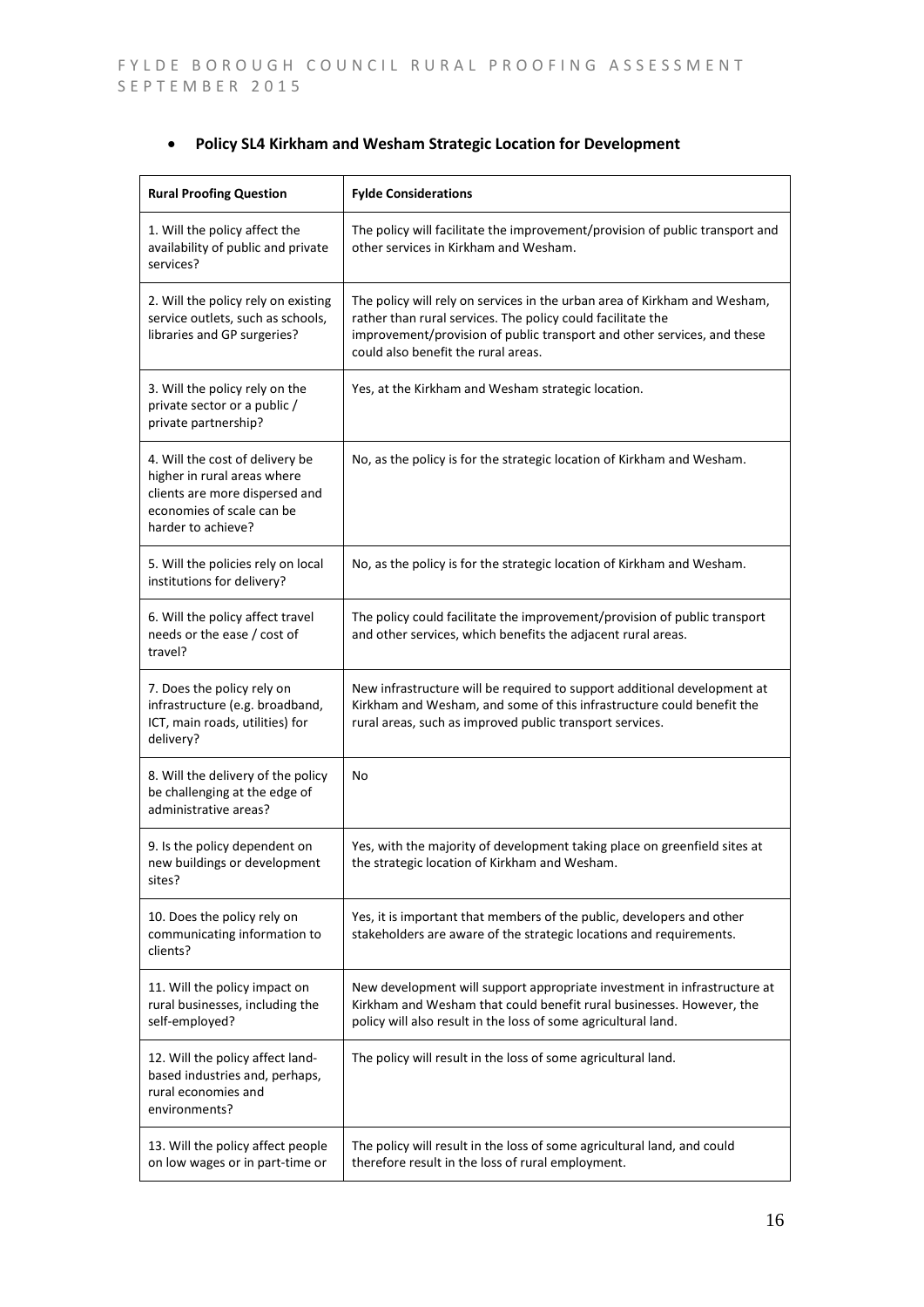|  | Policy SL4 Kirkham and Wesham Strategic Location for Development |  |  |  |  |  |
|--|------------------------------------------------------------------|--|--|--|--|--|
|--|------------------------------------------------------------------|--|--|--|--|--|

| <b>Rural Proofing Question</b>                                                                                                                      | <b>Fylde Considerations</b>                                                                                                                                                                                                                                |
|-----------------------------------------------------------------------------------------------------------------------------------------------------|------------------------------------------------------------------------------------------------------------------------------------------------------------------------------------------------------------------------------------------------------------|
| 1. Will the policy affect the<br>availability of public and private<br>services?                                                                    | The policy will facilitate the improvement/provision of public transport and<br>other services in Kirkham and Wesham.                                                                                                                                      |
| 2. Will the policy rely on existing<br>service outlets, such as schools,<br>libraries and GP surgeries?                                             | The policy will rely on services in the urban area of Kirkham and Wesham,<br>rather than rural services. The policy could facilitate the<br>improvement/provision of public transport and other services, and these<br>could also benefit the rural areas. |
| 3. Will the policy rely on the<br>private sector or a public /<br>private partnership?                                                              | Yes, at the Kirkham and Wesham strategic location.                                                                                                                                                                                                         |
| 4. Will the cost of delivery be<br>higher in rural areas where<br>clients are more dispersed and<br>economies of scale can be<br>harder to achieve? | No, as the policy is for the strategic location of Kirkham and Wesham.                                                                                                                                                                                     |
| 5. Will the policies rely on local<br>institutions for delivery?                                                                                    | No, as the policy is for the strategic location of Kirkham and Wesham.                                                                                                                                                                                     |
| 6. Will the policy affect travel<br>needs or the ease / cost of<br>travel?                                                                          | The policy could facilitate the improvement/provision of public transport<br>and other services, which benefits the adjacent rural areas.                                                                                                                  |
| 7. Does the policy rely on<br>infrastructure (e.g. broadband,<br>ICT, main roads, utilities) for<br>delivery?                                       | New infrastructure will be required to support additional development at<br>Kirkham and Wesham, and some of this infrastructure could benefit the<br>rural areas, such as improved public transport services.                                              |
| 8. Will the delivery of the policy<br>be challenging at the edge of<br>administrative areas?                                                        | No                                                                                                                                                                                                                                                         |
| 9. Is the policy dependent on<br>new buildings or development<br>sites?                                                                             | Yes, with the majority of development taking place on greenfield sites at<br>the strategic location of Kirkham and Wesham.                                                                                                                                 |
| 10. Does the policy rely on<br>communicating information to<br>clients?                                                                             | Yes, it is important that members of the public, developers and other<br>stakeholders are aware of the strategic locations and requirements.                                                                                                               |
| 11. Will the policy impact on<br>rural businesses, including the<br>self-employed?                                                                  | New development will support appropriate investment in infrastructure at<br>Kirkham and Wesham that could benefit rural businesses. However, the<br>policy will also result in the loss of some agricultural land.                                         |
| 12. Will the policy affect land-<br>based industries and, perhaps,<br>rural economies and<br>environments?                                          | The policy will result in the loss of some agricultural land.                                                                                                                                                                                              |
| 13. Will the policy affect people<br>on low wages or in part-time or                                                                                | The policy will result in the loss of some agricultural land, and could<br>therefore result in the loss of rural employment.                                                                                                                               |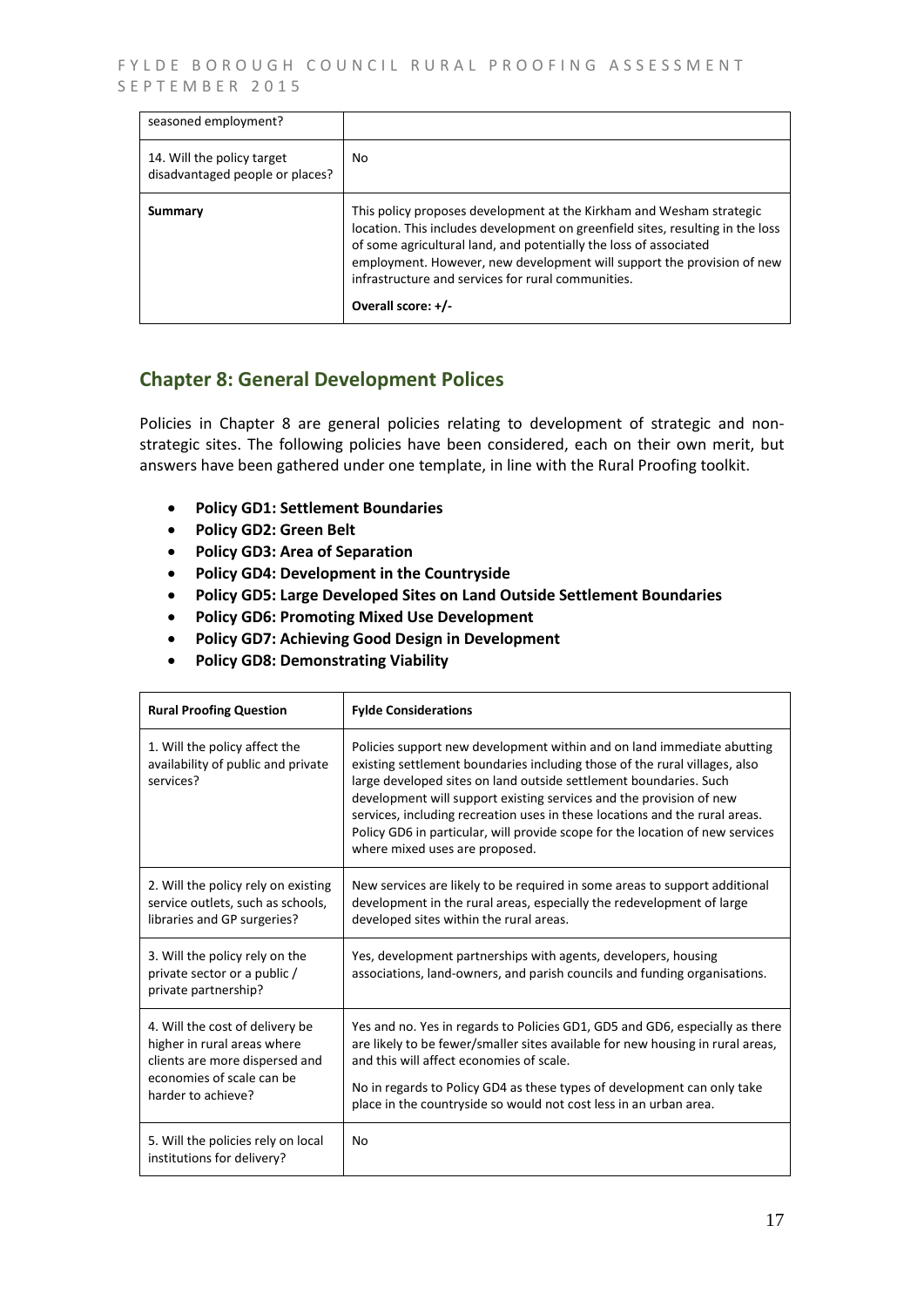FYLDE BOROUGH COUNCIL RURAL PROOFING ASSESSMENT SEPTEMBER 2015

| seasoned employment?                                          |                                                                                                                                                                                                                                                                                                                                                                                   |
|---------------------------------------------------------------|-----------------------------------------------------------------------------------------------------------------------------------------------------------------------------------------------------------------------------------------------------------------------------------------------------------------------------------------------------------------------------------|
| 14. Will the policy target<br>disadvantaged people or places? | No.                                                                                                                                                                                                                                                                                                                                                                               |
| Summary                                                       | This policy proposes development at the Kirkham and Wesham strategic<br>location. This includes development on greenfield sites, resulting in the loss<br>of some agricultural land, and potentially the loss of associated<br>employment. However, new development will support the provision of new<br>infrastructure and services for rural communities.<br>Overall score: +/- |

### **Chapter 8: General Development Polices**

Policies in Chapter 8 are general policies relating to development of strategic and nonstrategic sites. The following policies have been considered, each on their own merit, but answers have been gathered under one template, in line with the Rural Proofing toolkit.

- **Policy GD1: Settlement Boundaries**
- **Policy GD2: Green Belt**
- **Policy GD3: Area of Separation**
- **Policy GD4: Development in the Countryside**
- **Policy GD5: Large Developed Sites on Land Outside Settlement Boundaries**
- **Policy GD6: Promoting Mixed Use Development**
- **Policy GD7: Achieving Good Design in Development**
- **Policy GD8: Demonstrating Viability**

| <b>Rural Proofing Question</b>                                                                                                                      | <b>Fylde Considerations</b>                                                                                                                                                                                                                                                                                                                                                                                                                                                                        |
|-----------------------------------------------------------------------------------------------------------------------------------------------------|----------------------------------------------------------------------------------------------------------------------------------------------------------------------------------------------------------------------------------------------------------------------------------------------------------------------------------------------------------------------------------------------------------------------------------------------------------------------------------------------------|
| 1. Will the policy affect the<br>availability of public and private<br>services?                                                                    | Policies support new development within and on land immediate abutting<br>existing settlement boundaries including those of the rural villages, also<br>large developed sites on land outside settlement boundaries. Such<br>development will support existing services and the provision of new<br>services, including recreation uses in these locations and the rural areas.<br>Policy GD6 in particular, will provide scope for the location of new services<br>where mixed uses are proposed. |
| 2. Will the policy rely on existing<br>service outlets, such as schools,<br>libraries and GP surgeries?                                             | New services are likely to be required in some areas to support additional<br>development in the rural areas, especially the redevelopment of large<br>developed sites within the rural areas.                                                                                                                                                                                                                                                                                                     |
| 3. Will the policy rely on the<br>private sector or a public /<br>private partnership?                                                              | Yes, development partnerships with agents, developers, housing<br>associations, land-owners, and parish councils and funding organisations.                                                                                                                                                                                                                                                                                                                                                        |
| 4. Will the cost of delivery be<br>higher in rural areas where<br>clients are more dispersed and<br>economies of scale can be<br>harder to achieve? | Yes and no. Yes in regards to Policies GD1, GD5 and GD6, especially as there<br>are likely to be fewer/smaller sites available for new housing in rural areas,<br>and this will affect economies of scale.<br>No in regards to Policy GD4 as these types of development can only take<br>place in the countryside so would not cost less in an urban area.                                                                                                                                         |
| 5. Will the policies rely on local<br>institutions for delivery?                                                                                    | No                                                                                                                                                                                                                                                                                                                                                                                                                                                                                                 |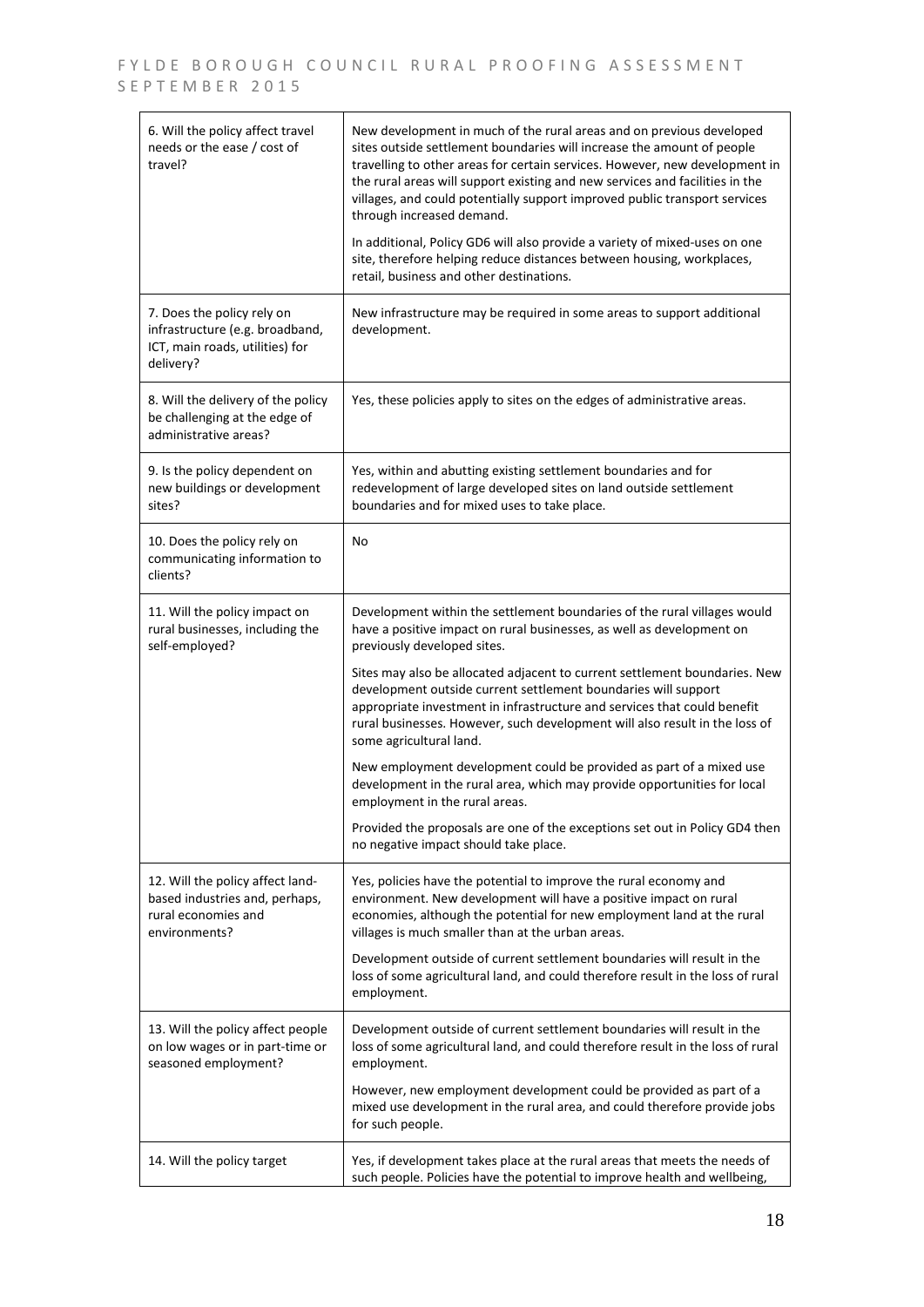$\overline{a}$ 

| 6. Will the policy affect travel<br>needs or the ease / cost of<br>travel?                                    | New development in much of the rural areas and on previous developed<br>sites outside settlement boundaries will increase the amount of people<br>travelling to other areas for certain services. However, new development in<br>the rural areas will support existing and new services and facilities in the<br>villages, and could potentially support improved public transport services<br>through increased demand. |
|---------------------------------------------------------------------------------------------------------------|--------------------------------------------------------------------------------------------------------------------------------------------------------------------------------------------------------------------------------------------------------------------------------------------------------------------------------------------------------------------------------------------------------------------------|
|                                                                                                               | In additional, Policy GD6 will also provide a variety of mixed-uses on one<br>site, therefore helping reduce distances between housing, workplaces,<br>retail, business and other destinations.                                                                                                                                                                                                                          |
| 7. Does the policy rely on<br>infrastructure (e.g. broadband,<br>ICT, main roads, utilities) for<br>delivery? | New infrastructure may be required in some areas to support additional<br>development.                                                                                                                                                                                                                                                                                                                                   |
| 8. Will the delivery of the policy<br>be challenging at the edge of<br>administrative areas?                  | Yes, these policies apply to sites on the edges of administrative areas.                                                                                                                                                                                                                                                                                                                                                 |
| 9. Is the policy dependent on<br>new buildings or development<br>sites?                                       | Yes, within and abutting existing settlement boundaries and for<br>redevelopment of large developed sites on land outside settlement<br>boundaries and for mixed uses to take place.                                                                                                                                                                                                                                     |
| 10. Does the policy rely on<br>communicating information to<br>clients?                                       | No                                                                                                                                                                                                                                                                                                                                                                                                                       |
| 11. Will the policy impact on<br>rural businesses, including the<br>self-employed?                            | Development within the settlement boundaries of the rural villages would<br>have a positive impact on rural businesses, as well as development on<br>previously developed sites.                                                                                                                                                                                                                                         |
|                                                                                                               | Sites may also be allocated adjacent to current settlement boundaries. New<br>development outside current settlement boundaries will support<br>appropriate investment in infrastructure and services that could benefit<br>rural businesses. However, such development will also result in the loss of<br>some agricultural land.                                                                                       |
|                                                                                                               | New employment development could be provided as part of a mixed use<br>development in the rural area, which may provide opportunities for local<br>employment in the rural areas.                                                                                                                                                                                                                                        |
|                                                                                                               | Provided the proposals are one of the exceptions set out in Policy GD4 then<br>no negative impact should take place.                                                                                                                                                                                                                                                                                                     |
| 12. Will the policy affect land-<br>based industries and, perhaps,<br>rural economies and<br>environments?    | Yes, policies have the potential to improve the rural economy and<br>environment. New development will have a positive impact on rural<br>economies, although the potential for new employment land at the rural<br>villages is much smaller than at the urban areas.                                                                                                                                                    |
|                                                                                                               | Development outside of current settlement boundaries will result in the<br>loss of some agricultural land, and could therefore result in the loss of rural<br>employment.                                                                                                                                                                                                                                                |
| 13. Will the policy affect people<br>on low wages or in part-time or<br>seasoned employment?                  | Development outside of current settlement boundaries will result in the<br>loss of some agricultural land, and could therefore result in the loss of rural<br>employment.                                                                                                                                                                                                                                                |
|                                                                                                               | However, new employment development could be provided as part of a<br>mixed use development in the rural area, and could therefore provide jobs<br>for such people.                                                                                                                                                                                                                                                      |
| 14. Will the policy target                                                                                    | Yes, if development takes place at the rural areas that meets the needs of<br>such people. Policies have the potential to improve health and wellbeing,                                                                                                                                                                                                                                                                  |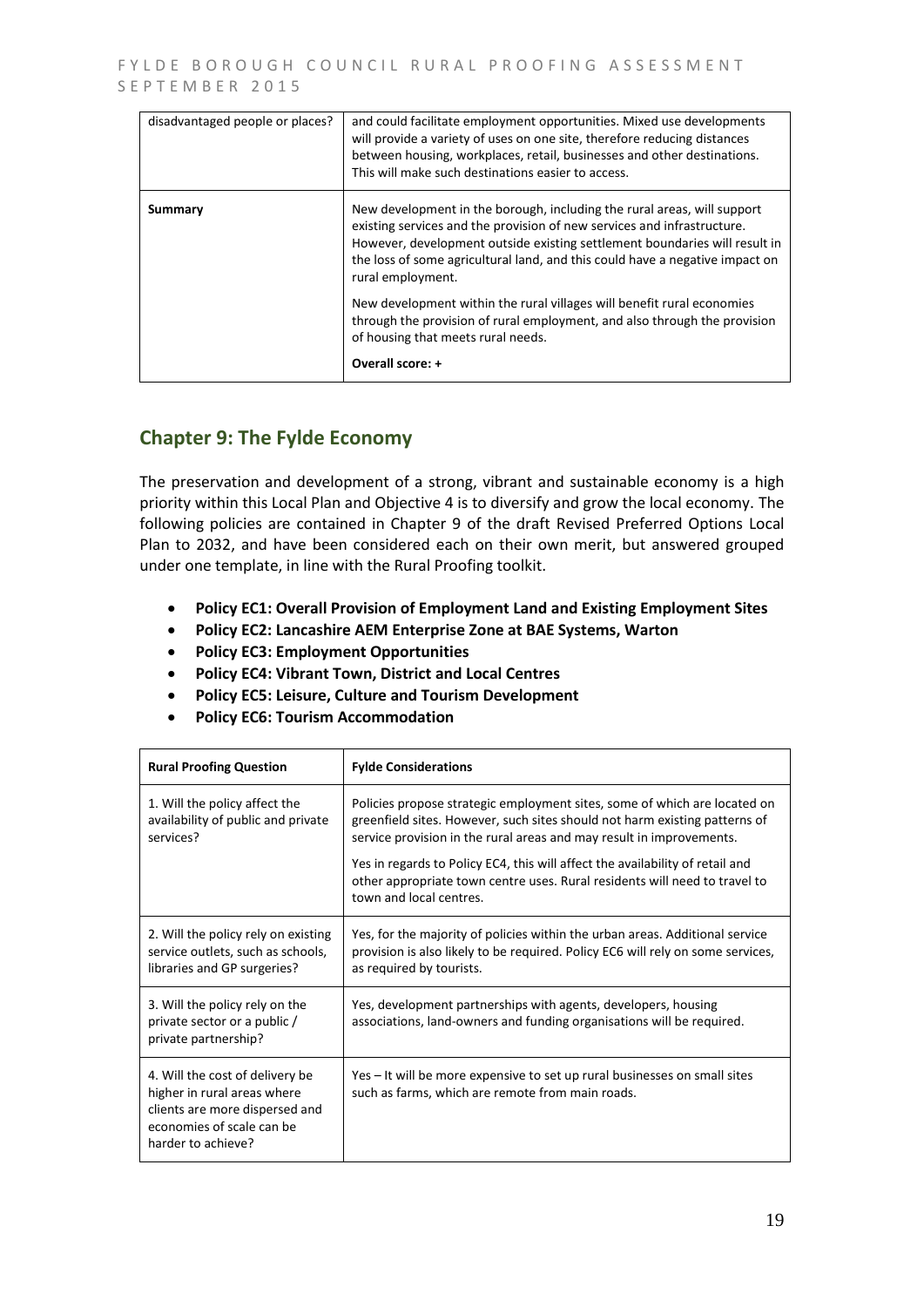| disadvantaged people or places? | and could facilitate employment opportunities. Mixed use developments<br>will provide a variety of uses on one site, therefore reducing distances<br>between housing, workplaces, retail, businesses and other destinations.<br>This will make such destinations easier to access.                                                                                                                                                                                                                                                                     |
|---------------------------------|--------------------------------------------------------------------------------------------------------------------------------------------------------------------------------------------------------------------------------------------------------------------------------------------------------------------------------------------------------------------------------------------------------------------------------------------------------------------------------------------------------------------------------------------------------|
| Summary                         | New development in the borough, including the rural areas, will support<br>existing services and the provision of new services and infrastructure.<br>However, development outside existing settlement boundaries will result in<br>the loss of some agricultural land, and this could have a negative impact on<br>rural employment.<br>New development within the rural villages will benefit rural economies<br>through the provision of rural employment, and also through the provision<br>of housing that meets rural needs.<br>Overall score: + |

## **Chapter 9: The Fylde Economy**

The preservation and development of a strong, vibrant and sustainable economy is a high priority within this Local Plan and Objective 4 is to diversify and grow the local economy. The following policies are contained in Chapter 9 of the draft Revised Preferred Options Local Plan to 2032, and have been considered each on their own merit, but answered grouped under one template, in line with the Rural Proofing toolkit.

- **Policy EC1: Overall Provision of Employment Land and Existing Employment Sites**
- **Policy EC2: Lancashire AEM Enterprise Zone at BAE Systems, Warton**
- **Policy EC3: Employment Opportunities**
- **Policy EC4: Vibrant Town, District and Local Centres**
- **Policy EC5: Leisure, Culture and Tourism Development**
- **Policy EC6: Tourism Accommodation**

| <b>Rural Proofing Question</b>                                                                                                                      | <b>Fylde Considerations</b>                                                                                                                                                                                                     |
|-----------------------------------------------------------------------------------------------------------------------------------------------------|---------------------------------------------------------------------------------------------------------------------------------------------------------------------------------------------------------------------------------|
| 1. Will the policy affect the<br>availability of public and private<br>services?                                                                    | Policies propose strategic employment sites, some of which are located on<br>greenfield sites. However, such sites should not harm existing patterns of<br>service provision in the rural areas and may result in improvements. |
|                                                                                                                                                     | Yes in regards to Policy EC4, this will affect the availability of retail and<br>other appropriate town centre uses. Rural residents will need to travel to<br>town and local centres.                                          |
| 2. Will the policy rely on existing<br>service outlets, such as schools,<br>libraries and GP surgeries?                                             | Yes, for the majority of policies within the urban areas. Additional service<br>provision is also likely to be required. Policy EC6 will rely on some services,<br>as required by tourists.                                     |
| 3. Will the policy rely on the<br>private sector or a public /<br>private partnership?                                                              | Yes, development partnerships with agents, developers, housing<br>associations, land-owners and funding organisations will be required.                                                                                         |
| 4. Will the cost of delivery be<br>higher in rural areas where<br>clients are more dispersed and<br>economies of scale can be<br>harder to achieve? | Yes – It will be more expensive to set up rural businesses on small sites<br>such as farms, which are remote from main roads.                                                                                                   |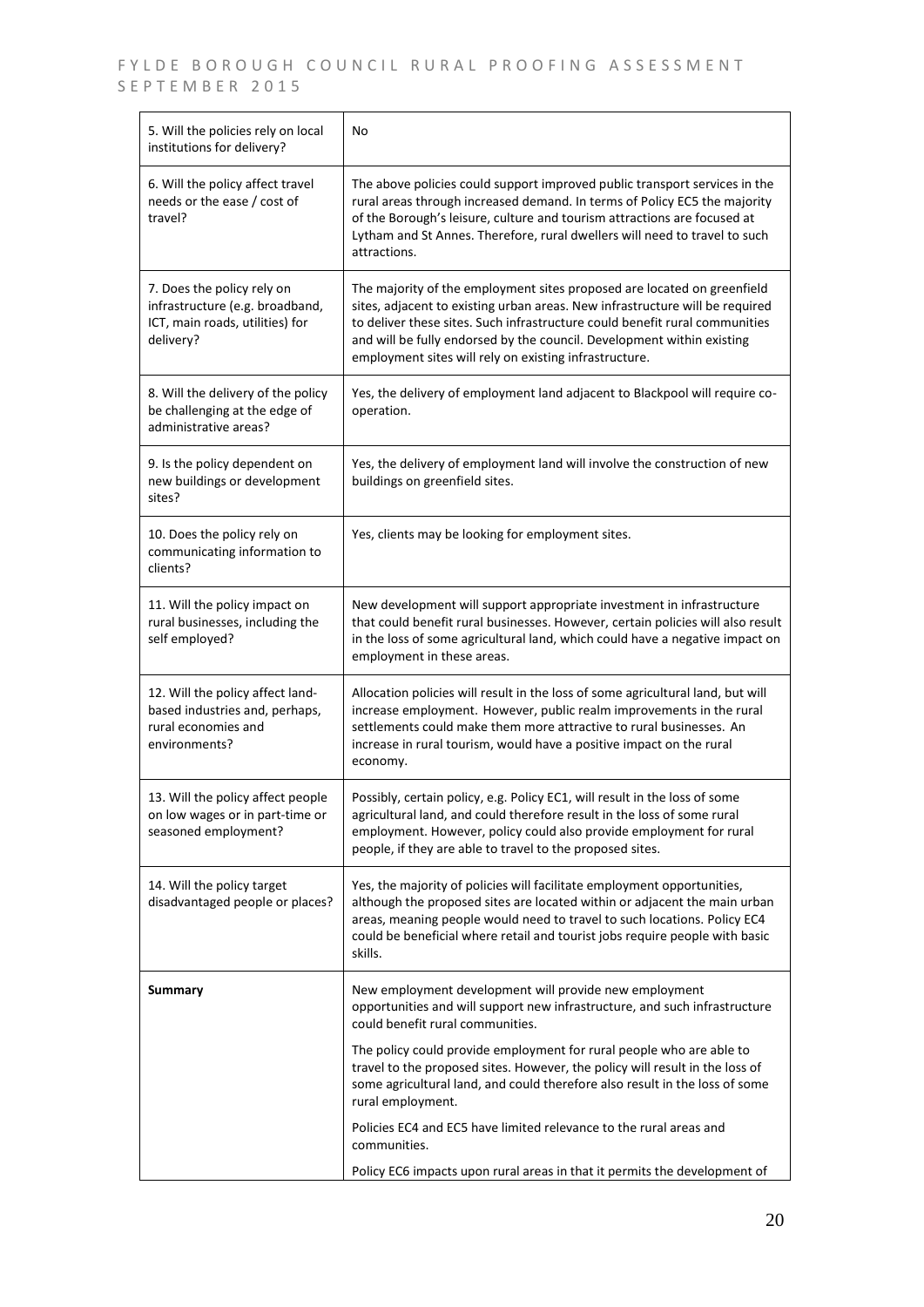| 5. Will the policies rely on local<br>institutions for delivery?                                              | No                                                                                                                                                                                                                                                                                                                                                                         |
|---------------------------------------------------------------------------------------------------------------|----------------------------------------------------------------------------------------------------------------------------------------------------------------------------------------------------------------------------------------------------------------------------------------------------------------------------------------------------------------------------|
| 6. Will the policy affect travel<br>needs or the ease / cost of<br>travel?                                    | The above policies could support improved public transport services in the<br>rural areas through increased demand. In terms of Policy EC5 the majority<br>of the Borough's leisure, culture and tourism attractions are focused at<br>Lytham and St Annes. Therefore, rural dwellers will need to travel to such<br>attractions.                                          |
| 7. Does the policy rely on<br>infrastructure (e.g. broadband,<br>ICT, main roads, utilities) for<br>delivery? | The majority of the employment sites proposed are located on greenfield<br>sites, adjacent to existing urban areas. New infrastructure will be required<br>to deliver these sites. Such infrastructure could benefit rural communities<br>and will be fully endorsed by the council. Development within existing<br>employment sites will rely on existing infrastructure. |
| 8. Will the delivery of the policy<br>be challenging at the edge of<br>administrative areas?                  | Yes, the delivery of employment land adjacent to Blackpool will require co-<br>operation.                                                                                                                                                                                                                                                                                  |
| 9. Is the policy dependent on<br>new buildings or development<br>sites?                                       | Yes, the delivery of employment land will involve the construction of new<br>buildings on greenfield sites.                                                                                                                                                                                                                                                                |
| 10. Does the policy rely on<br>communicating information to<br>clients?                                       | Yes, clients may be looking for employment sites.                                                                                                                                                                                                                                                                                                                          |
| 11. Will the policy impact on<br>rural businesses, including the<br>self employed?                            | New development will support appropriate investment in infrastructure<br>that could benefit rural businesses. However, certain policies will also result<br>in the loss of some agricultural land, which could have a negative impact on<br>employment in these areas.                                                                                                     |
| 12. Will the policy affect land-<br>based industries and, perhaps,<br>rural economies and<br>environments?    | Allocation policies will result in the loss of some agricultural land, but will<br>increase employment. However, public realm improvements in the rural<br>settlements could make them more attractive to rural businesses. An<br>increase in rural tourism, would have a positive impact on the rural<br>economy.                                                         |
| 13. Will the policy affect people<br>on low wages or in part-time or<br>seasoned employment?                  | Possibly, certain policy, e.g. Policy EC1, will result in the loss of some<br>agricultural land, and could therefore result in the loss of some rural<br>employment. However, policy could also provide employment for rural<br>people, if they are able to travel to the proposed sites.                                                                                  |
| 14. Will the policy target<br>disadvantaged people or places?                                                 | Yes, the majority of policies will facilitate employment opportunities,<br>although the proposed sites are located within or adjacent the main urban<br>areas, meaning people would need to travel to such locations. Policy EC4<br>could be beneficial where retail and tourist jobs require people with basic<br>skills.                                                 |
| <b>Summary</b>                                                                                                | New employment development will provide new employment<br>opportunities and will support new infrastructure, and such infrastructure<br>could benefit rural communities.                                                                                                                                                                                                   |
|                                                                                                               | The policy could provide employment for rural people who are able to<br>travel to the proposed sites. However, the policy will result in the loss of<br>some agricultural land, and could therefore also result in the loss of some<br>rural employment.                                                                                                                   |
|                                                                                                               | Policies EC4 and EC5 have limited relevance to the rural areas and<br>communities.                                                                                                                                                                                                                                                                                         |
|                                                                                                               | Policy EC6 impacts upon rural areas in that it permits the development of                                                                                                                                                                                                                                                                                                  |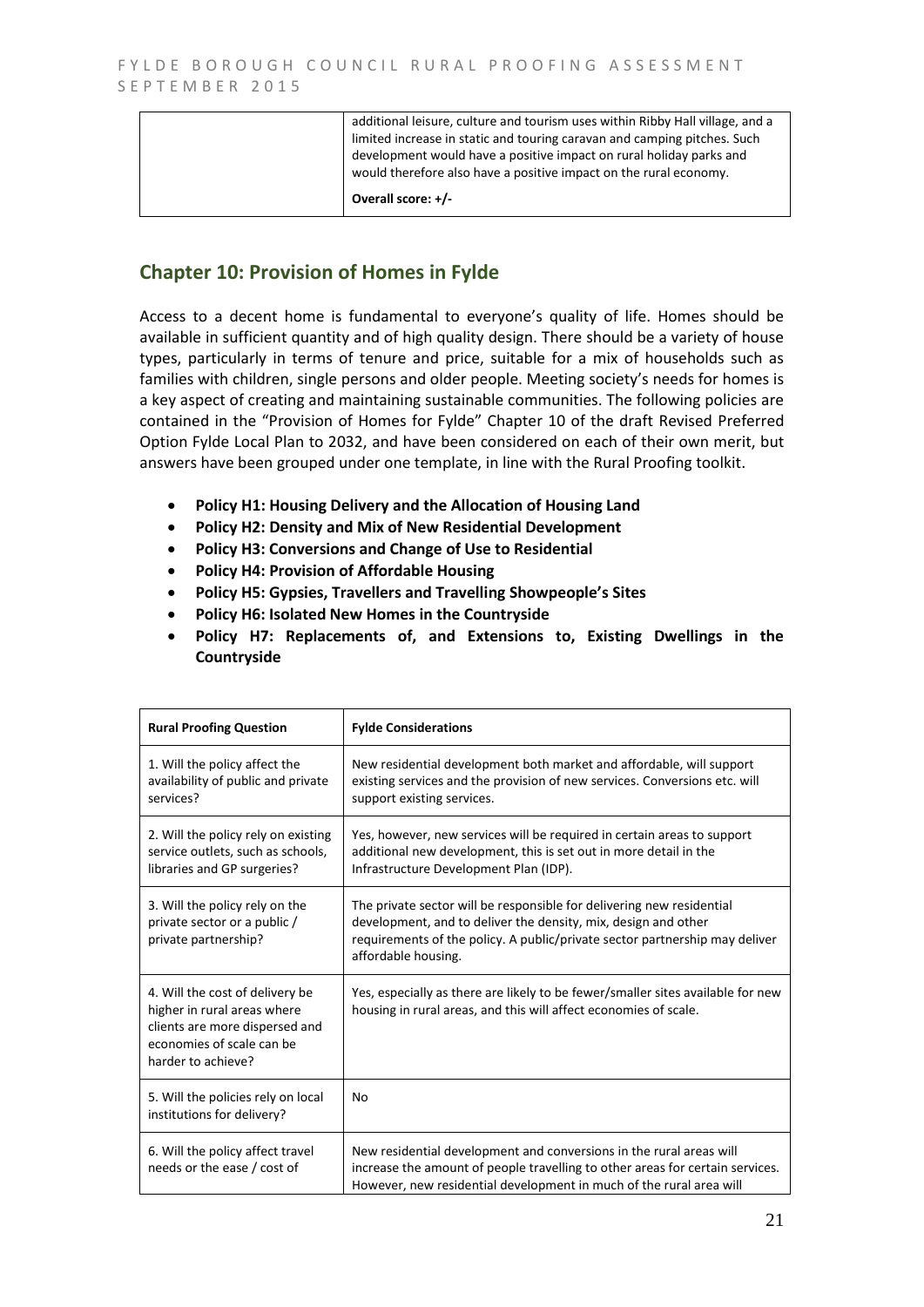| additional leisure, culture and tourism uses within Ribby Hall village, and a<br>limited increase in static and touring caravan and camping pitches. Such<br>development would have a positive impact on rural holiday parks and<br>would therefore also have a positive impact on the rural economy. |
|-------------------------------------------------------------------------------------------------------------------------------------------------------------------------------------------------------------------------------------------------------------------------------------------------------|
| Overall score: +/-                                                                                                                                                                                                                                                                                    |

## **Chapter 10: Provision of Homes in Fylde**

Access to a decent home is fundamental to everyone's quality of life. Homes should be available in sufficient quantity and of high quality design. There should be a variety of house types, particularly in terms of tenure and price, suitable for a mix of households such as families with children, single persons and older people. Meeting society's needs for homes is a key aspect of creating and maintaining sustainable communities. The following policies are contained in the "Provision of Homes for Fylde" Chapter 10 of the draft Revised Preferred Option Fylde Local Plan to 2032, and have been considered on each of their own merit, but answers have been grouped under one template, in line with the Rural Proofing toolkit.

- **Policy H1: Housing Delivery and the Allocation of Housing Land**
- **Policy H2: Density and Mix of New Residential Development**
- **Policy H3: Conversions and Change of Use to Residential**
- **Policy H4: Provision of Affordable Housing**
- **Policy H5: Gypsies, Travellers and Travelling Showpeople's Sites**
- **Policy H6: Isolated New Homes in the Countryside**
- **Policy H7: Replacements of, and Extensions to, Existing Dwellings in the Countryside**

| <b>Rural Proofing Question</b>                                                                                                                      | <b>Fylde Considerations</b>                                                                                                                                                                                                                   |
|-----------------------------------------------------------------------------------------------------------------------------------------------------|-----------------------------------------------------------------------------------------------------------------------------------------------------------------------------------------------------------------------------------------------|
| 1. Will the policy affect the<br>availability of public and private<br>services?                                                                    | New residential development both market and affordable, will support<br>existing services and the provision of new services. Conversions etc. will<br>support existing services.                                                              |
| 2. Will the policy rely on existing<br>service outlets, such as schools,<br>libraries and GP surgeries?                                             | Yes, however, new services will be required in certain areas to support<br>additional new development, this is set out in more detail in the<br>Infrastructure Development Plan (IDP).                                                        |
| 3. Will the policy rely on the<br>private sector or a public /<br>private partnership?                                                              | The private sector will be responsible for delivering new residential<br>development, and to deliver the density, mix, design and other<br>requirements of the policy. A public/private sector partnership may deliver<br>affordable housing. |
| 4. Will the cost of delivery be<br>higher in rural areas where<br>clients are more dispersed and<br>economies of scale can be<br>harder to achieve? | Yes, especially as there are likely to be fewer/smaller sites available for new<br>housing in rural areas, and this will affect economies of scale.                                                                                           |
| 5. Will the policies rely on local<br>institutions for delivery?                                                                                    | No                                                                                                                                                                                                                                            |
| 6. Will the policy affect travel<br>needs or the ease / cost of                                                                                     | New residential development and conversions in the rural areas will<br>increase the amount of people travelling to other areas for certain services.<br>However, new residential development in much of the rural area will                   |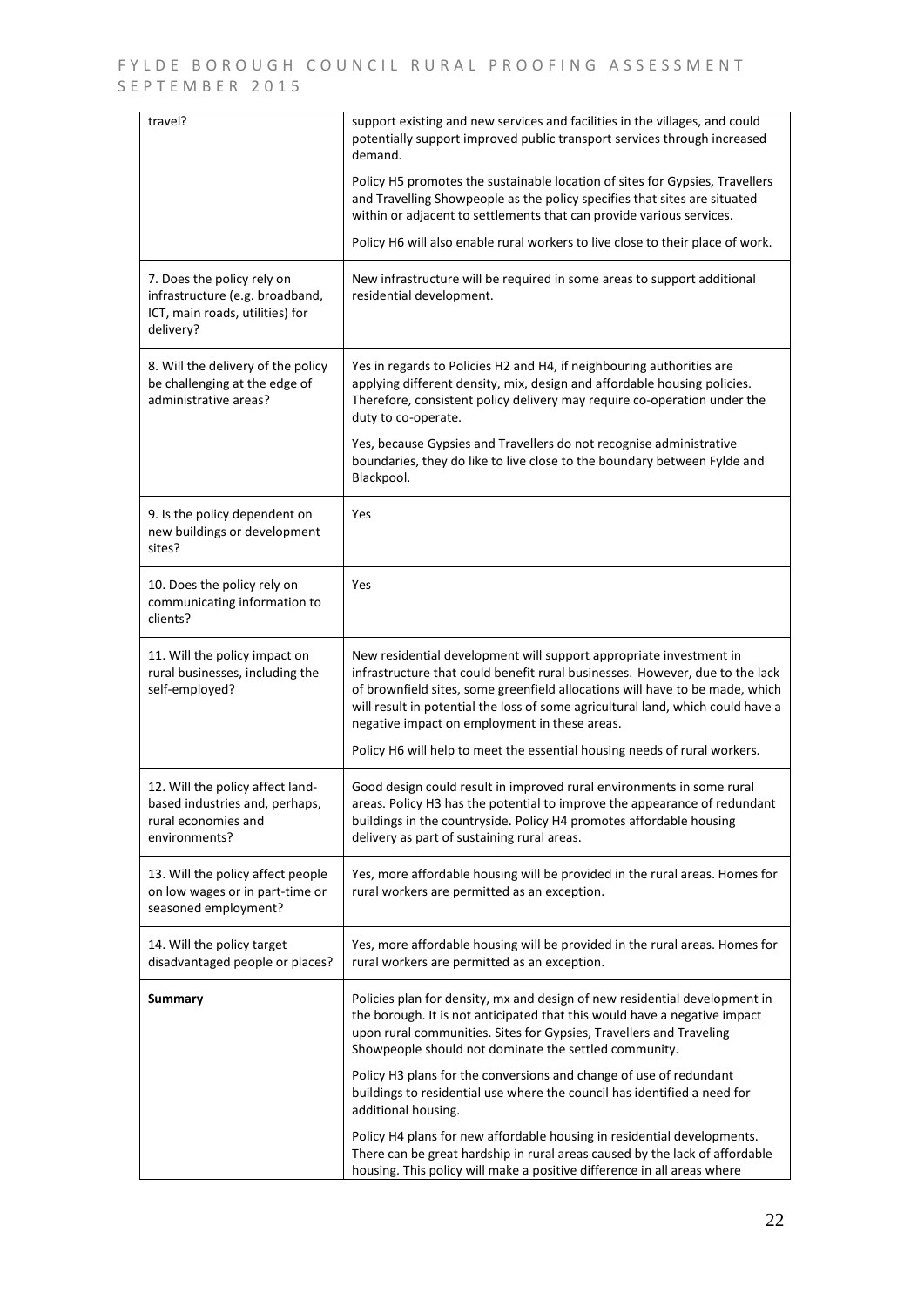| travel?                                                                                                       | support existing and new services and facilities in the villages, and could<br>potentially support improved public transport services through increased<br>demand.                                                                                                                                                                                                                                                                                  |
|---------------------------------------------------------------------------------------------------------------|-----------------------------------------------------------------------------------------------------------------------------------------------------------------------------------------------------------------------------------------------------------------------------------------------------------------------------------------------------------------------------------------------------------------------------------------------------|
|                                                                                                               | Policy H5 promotes the sustainable location of sites for Gypsies, Travellers<br>and Travelling Showpeople as the policy specifies that sites are situated<br>within or adjacent to settlements that can provide various services.                                                                                                                                                                                                                   |
|                                                                                                               | Policy H6 will also enable rural workers to live close to their place of work.                                                                                                                                                                                                                                                                                                                                                                      |
| 7. Does the policy rely on<br>infrastructure (e.g. broadband,<br>ICT, main roads, utilities) for<br>delivery? | New infrastructure will be required in some areas to support additional<br>residential development.                                                                                                                                                                                                                                                                                                                                                 |
| 8. Will the delivery of the policy<br>be challenging at the edge of<br>administrative areas?                  | Yes in regards to Policies H2 and H4, if neighbouring authorities are<br>applying different density, mix, design and affordable housing policies.<br>Therefore, consistent policy delivery may require co-operation under the<br>duty to co-operate.                                                                                                                                                                                                |
|                                                                                                               | Yes, because Gypsies and Travellers do not recognise administrative<br>boundaries, they do like to live close to the boundary between Fylde and<br>Blackpool.                                                                                                                                                                                                                                                                                       |
| 9. Is the policy dependent on<br>new buildings or development<br>sites?                                       | Yes                                                                                                                                                                                                                                                                                                                                                                                                                                                 |
| 10. Does the policy rely on<br>communicating information to<br>clients?                                       | Yes                                                                                                                                                                                                                                                                                                                                                                                                                                                 |
| 11. Will the policy impact on<br>rural businesses, including the<br>self-employed?                            | New residential development will support appropriate investment in<br>infrastructure that could benefit rural businesses. However, due to the lack<br>of brownfield sites, some greenfield allocations will have to be made, which<br>will result in potential the loss of some agricultural land, which could have a<br>negative impact on employment in these areas.<br>Policy H6 will help to meet the essential housing needs of rural workers. |
|                                                                                                               |                                                                                                                                                                                                                                                                                                                                                                                                                                                     |
| 12. Will the policy affect land-<br>based industries and, perhaps,<br>rural economies and<br>environments?    | Good design could result in improved rural environments in some rural<br>areas. Policy H3 has the potential to improve the appearance of redundant<br>buildings in the countryside. Policy H4 promotes affordable housing<br>delivery as part of sustaining rural areas.                                                                                                                                                                            |
| 13. Will the policy affect people<br>on low wages or in part-time or<br>seasoned employment?                  | Yes, more affordable housing will be provided in the rural areas. Homes for<br>rural workers are permitted as an exception.                                                                                                                                                                                                                                                                                                                         |
| 14. Will the policy target<br>disadvantaged people or places?                                                 | Yes, more affordable housing will be provided in the rural areas. Homes for<br>rural workers are permitted as an exception.                                                                                                                                                                                                                                                                                                                         |
| <b>Summary</b>                                                                                                | Policies plan for density, mx and design of new residential development in<br>the borough. It is not anticipated that this would have a negative impact<br>upon rural communities. Sites for Gypsies, Travellers and Traveling<br>Showpeople should not dominate the settled community.                                                                                                                                                             |
|                                                                                                               | Policy H3 plans for the conversions and change of use of redundant<br>buildings to residential use where the council has identified a need for<br>additional housing.                                                                                                                                                                                                                                                                               |
|                                                                                                               | Policy H4 plans for new affordable housing in residential developments.<br>There can be great hardship in rural areas caused by the lack of affordable<br>housing. This policy will make a positive difference in all areas where                                                                                                                                                                                                                   |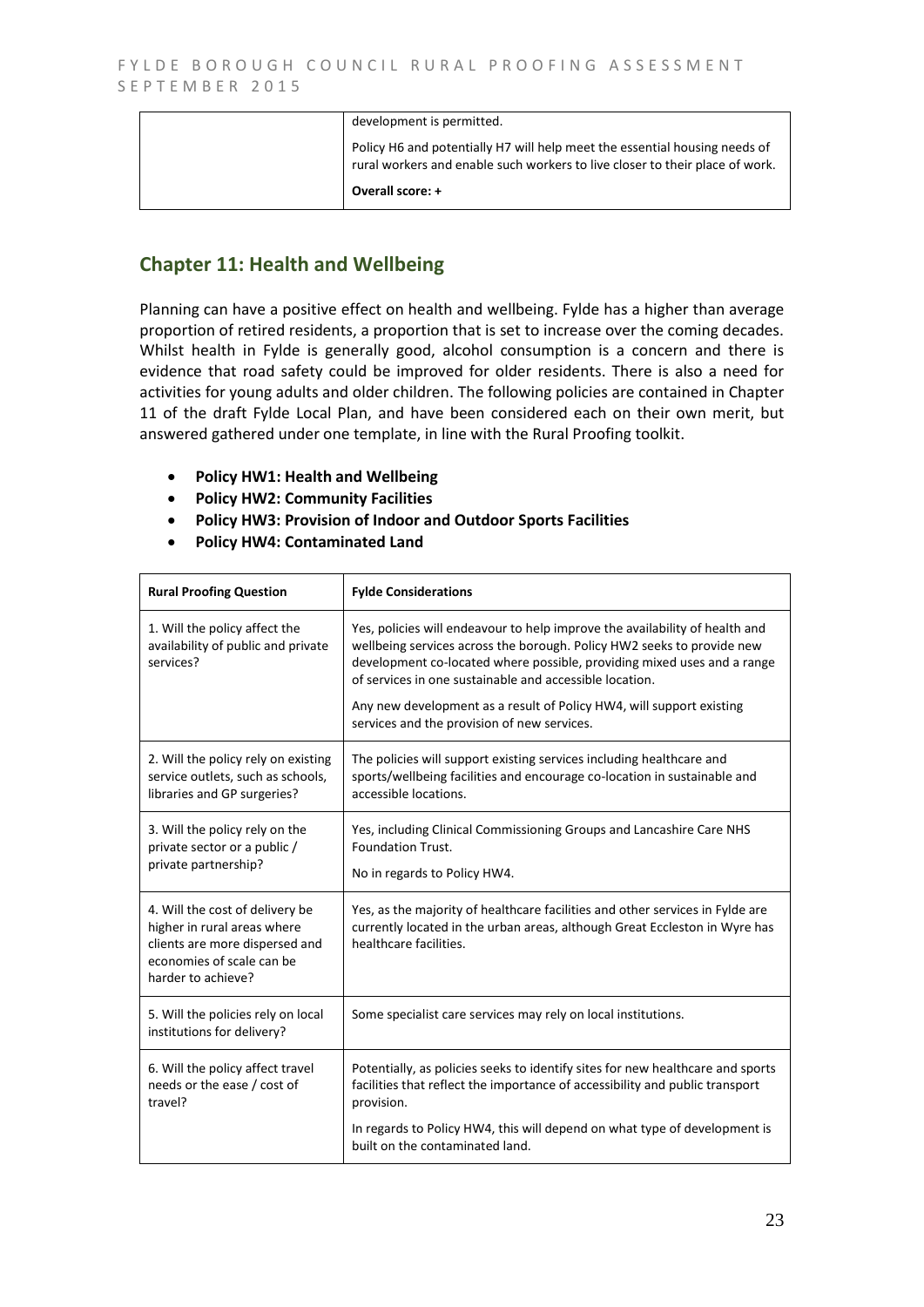| development is permitted.                                                                                                                                  |
|------------------------------------------------------------------------------------------------------------------------------------------------------------|
| Policy H6 and potentially H7 will help meet the essential housing needs of<br>rural workers and enable such workers to live closer to their place of work. |
| Overall score: +                                                                                                                                           |

## **Chapter 11: Health and Wellbeing**

Planning can have a positive effect on health and wellbeing. Fylde has a higher than average proportion of retired residents, a proportion that is set to increase over the coming decades. Whilst health in Fylde is generally good, alcohol consumption is a concern and there is evidence that road safety could be improved for older residents. There is also a need for activities for young adults and older children. The following policies are contained in Chapter 11 of the draft Fylde Local Plan, and have been considered each on their own merit, but answered gathered under one template, in line with the Rural Proofing toolkit.

- **Policy HW1: Health and Wellbeing**
- **Policy HW2: Community Facilities**
- **Policy HW3: Provision of Indoor and Outdoor Sports Facilities**
- **Policy HW4: Contaminated Land**

| <b>Rural Proofing Question</b>                                                                                                                      | <b>Fylde Considerations</b>                                                                                                                                                                                                                                                                                                                                                                                        |
|-----------------------------------------------------------------------------------------------------------------------------------------------------|--------------------------------------------------------------------------------------------------------------------------------------------------------------------------------------------------------------------------------------------------------------------------------------------------------------------------------------------------------------------------------------------------------------------|
| 1. Will the policy affect the<br>availability of public and private<br>services?                                                                    | Yes, policies will endeavour to help improve the availability of health and<br>wellbeing services across the borough. Policy HW2 seeks to provide new<br>development co-located where possible, providing mixed uses and a range<br>of services in one sustainable and accessible location.<br>Any new development as a result of Policy HW4, will support existing<br>services and the provision of new services. |
| 2. Will the policy rely on existing<br>service outlets, such as schools,<br>libraries and GP surgeries?                                             | The policies will support existing services including healthcare and<br>sports/wellbeing facilities and encourage co-location in sustainable and<br>accessible locations.                                                                                                                                                                                                                                          |
| 3. Will the policy rely on the<br>private sector or a public /<br>private partnership?                                                              | Yes, including Clinical Commissioning Groups and Lancashire Care NHS<br>Foundation Trust.<br>No in regards to Policy HW4.                                                                                                                                                                                                                                                                                          |
| 4. Will the cost of delivery be<br>higher in rural areas where<br>clients are more dispersed and<br>economies of scale can be<br>harder to achieve? | Yes, as the majority of healthcare facilities and other services in Fylde are<br>currently located in the urban areas, although Great Eccleston in Wyre has<br>healthcare facilities.                                                                                                                                                                                                                              |
| 5. Will the policies rely on local<br>institutions for delivery?                                                                                    | Some specialist care services may rely on local institutions.                                                                                                                                                                                                                                                                                                                                                      |
| 6. Will the policy affect travel<br>needs or the ease / cost of<br>travel?                                                                          | Potentially, as policies seeks to identify sites for new healthcare and sports<br>facilities that reflect the importance of accessibility and public transport<br>provision.<br>In regards to Policy HW4, this will depend on what type of development is<br>built on the contaminated land.                                                                                                                       |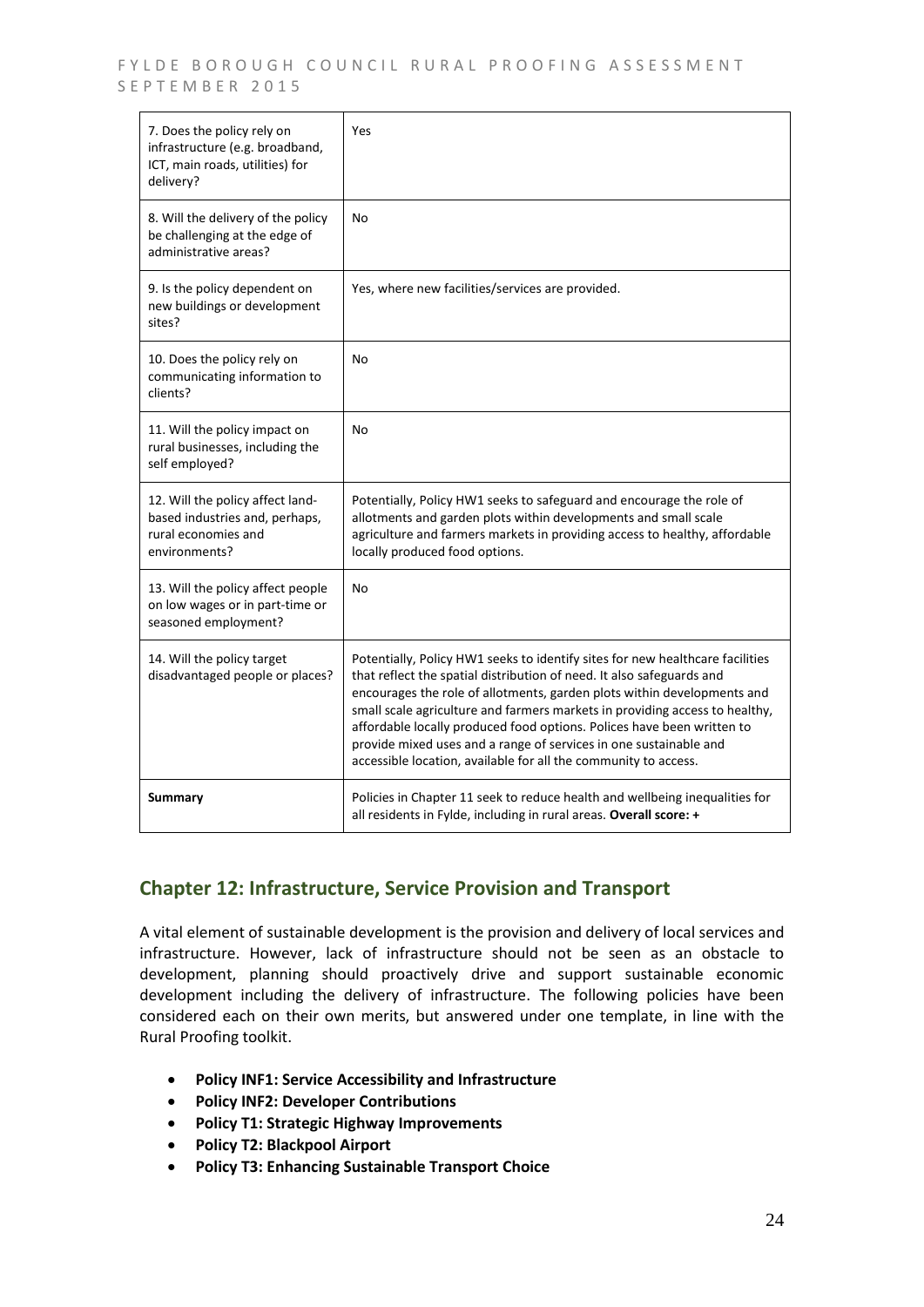FYLDE BOROUGH COUNCIL RURAL PROOFING ASSESSMENT SEPTEMBER 2015

| 7. Does the policy rely on<br>infrastructure (e.g. broadband,<br>ICT, main roads, utilities) for<br>delivery? | Yes                                                                                                                                                                                                                                                                                                                                                                                                                                                                                                                                |
|---------------------------------------------------------------------------------------------------------------|------------------------------------------------------------------------------------------------------------------------------------------------------------------------------------------------------------------------------------------------------------------------------------------------------------------------------------------------------------------------------------------------------------------------------------------------------------------------------------------------------------------------------------|
| 8. Will the delivery of the policy<br>be challenging at the edge of<br>administrative areas?                  | No                                                                                                                                                                                                                                                                                                                                                                                                                                                                                                                                 |
| 9. Is the policy dependent on<br>new buildings or development<br>sites?                                       | Yes, where new facilities/services are provided.                                                                                                                                                                                                                                                                                                                                                                                                                                                                                   |
| 10. Does the policy rely on<br>communicating information to<br>clients?                                       | No                                                                                                                                                                                                                                                                                                                                                                                                                                                                                                                                 |
| 11. Will the policy impact on<br>rural businesses, including the<br>self employed?                            | <b>No</b>                                                                                                                                                                                                                                                                                                                                                                                                                                                                                                                          |
| 12. Will the policy affect land-<br>based industries and, perhaps,<br>rural economies and<br>environments?    | Potentially, Policy HW1 seeks to safeguard and encourage the role of<br>allotments and garden plots within developments and small scale<br>agriculture and farmers markets in providing access to healthy, affordable<br>locally produced food options.                                                                                                                                                                                                                                                                            |
| 13. Will the policy affect people<br>on low wages or in part-time or<br>seasoned employment?                  | No                                                                                                                                                                                                                                                                                                                                                                                                                                                                                                                                 |
| 14. Will the policy target<br>disadvantaged people or places?                                                 | Potentially, Policy HW1 seeks to identify sites for new healthcare facilities<br>that reflect the spatial distribution of need. It also safeguards and<br>encourages the role of allotments, garden plots within developments and<br>small scale agriculture and farmers markets in providing access to healthy,<br>affordable locally produced food options. Polices have been written to<br>provide mixed uses and a range of services in one sustainable and<br>accessible location, available for all the community to access. |
| Summary                                                                                                       | Policies in Chapter 11 seek to reduce health and wellbeing inequalities for<br>all residents in Fylde, including in rural areas. Overall score: +                                                                                                                                                                                                                                                                                                                                                                                  |

## **Chapter 12: Infrastructure, Service Provision and Transport**

A vital element of sustainable development is the provision and delivery of local services and infrastructure. However, lack of infrastructure should not be seen as an obstacle to development, planning should proactively drive and support sustainable economic development including the delivery of infrastructure. The following policies have been considered each on their own merits, but answered under one template, in line with the Rural Proofing toolkit.

- **Policy INF1: Service Accessibility and Infrastructure**
- **Policy INF2: Developer Contributions**
- **Policy T1: Strategic Highway Improvements**
- **Policy T2: Blackpool Airport**
- **Policy T3: Enhancing Sustainable Transport Choice**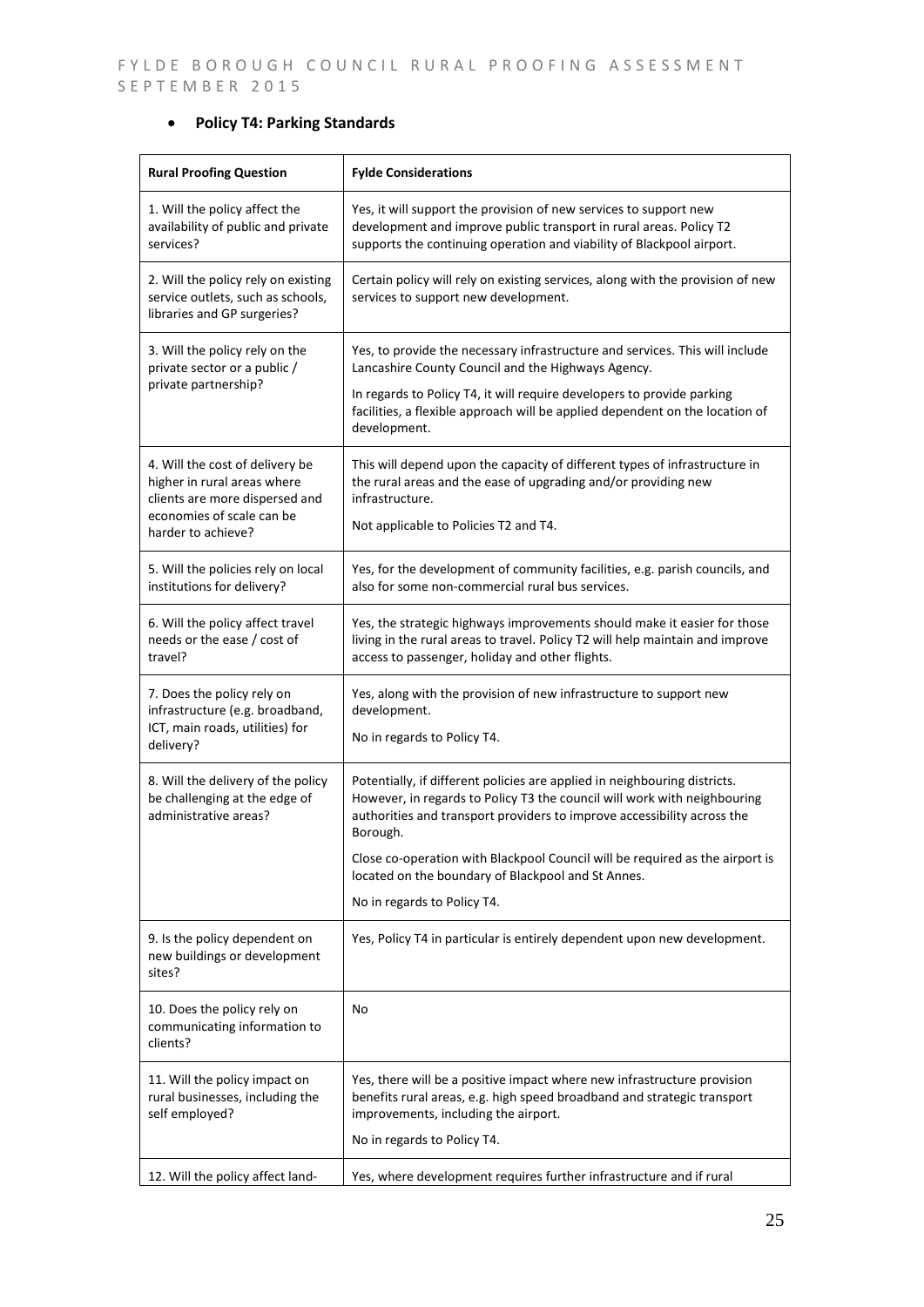## **Policy T4: Parking Standards**

| <b>Rural Proofing Question</b>                                                                                                                      | <b>Fylde Considerations</b>                                                                                                                                                                                                                                                                                                                                                                                       |
|-----------------------------------------------------------------------------------------------------------------------------------------------------|-------------------------------------------------------------------------------------------------------------------------------------------------------------------------------------------------------------------------------------------------------------------------------------------------------------------------------------------------------------------------------------------------------------------|
| 1. Will the policy affect the<br>availability of public and private<br>services?                                                                    | Yes, it will support the provision of new services to support new<br>development and improve public transport in rural areas. Policy T2<br>supports the continuing operation and viability of Blackpool airport.                                                                                                                                                                                                  |
| 2. Will the policy rely on existing<br>service outlets, such as schools,<br>libraries and GP surgeries?                                             | Certain policy will rely on existing services, along with the provision of new<br>services to support new development.                                                                                                                                                                                                                                                                                            |
| 3. Will the policy rely on the<br>private sector or a public /<br>private partnership?                                                              | Yes, to provide the necessary infrastructure and services. This will include<br>Lancashire County Council and the Highways Agency.<br>In regards to Policy T4, it will require developers to provide parking<br>facilities, a flexible approach will be applied dependent on the location of<br>development.                                                                                                      |
| 4. Will the cost of delivery be<br>higher in rural areas where<br>clients are more dispersed and<br>economies of scale can be<br>harder to achieve? | This will depend upon the capacity of different types of infrastructure in<br>the rural areas and the ease of upgrading and/or providing new<br>infrastructure.<br>Not applicable to Policies T2 and T4.                                                                                                                                                                                                          |
| 5. Will the policies rely on local<br>institutions for delivery?                                                                                    | Yes, for the development of community facilities, e.g. parish councils, and<br>also for some non-commercial rural bus services.                                                                                                                                                                                                                                                                                   |
| 6. Will the policy affect travel<br>needs or the ease / cost of<br>travel?                                                                          | Yes, the strategic highways improvements should make it easier for those<br>living in the rural areas to travel. Policy T2 will help maintain and improve<br>access to passenger, holiday and other flights.                                                                                                                                                                                                      |
| 7. Does the policy rely on<br>infrastructure (e.g. broadband,<br>ICT, main roads, utilities) for<br>delivery?                                       | Yes, along with the provision of new infrastructure to support new<br>development.<br>No in regards to Policy T4.                                                                                                                                                                                                                                                                                                 |
| 8. Will the delivery of the policy<br>be challenging at the edge of<br>administrative areas?                                                        | Potentially, if different policies are applied in neighbouring districts.<br>However, in regards to Policy T3 the council will work with neighbouring<br>authorities and transport providers to improve accessibility across the<br>Borough.<br>Close co-operation with Blackpool Council will be required as the airport is<br>located on the boundary of Blackpool and St Annes.<br>No in regards to Policy T4. |
| 9. Is the policy dependent on<br>new buildings or development<br>sites?                                                                             | Yes, Policy T4 in particular is entirely dependent upon new development.                                                                                                                                                                                                                                                                                                                                          |
| 10. Does the policy rely on<br>communicating information to<br>clients?                                                                             | No                                                                                                                                                                                                                                                                                                                                                                                                                |
| 11. Will the policy impact on<br>rural businesses, including the<br>self employed?                                                                  | Yes, there will be a positive impact where new infrastructure provision<br>benefits rural areas, e.g. high speed broadband and strategic transport<br>improvements, including the airport.<br>No in regards to Policy T4.                                                                                                                                                                                         |
| 12. Will the policy affect land-                                                                                                                    | Yes, where development requires further infrastructure and if rural                                                                                                                                                                                                                                                                                                                                               |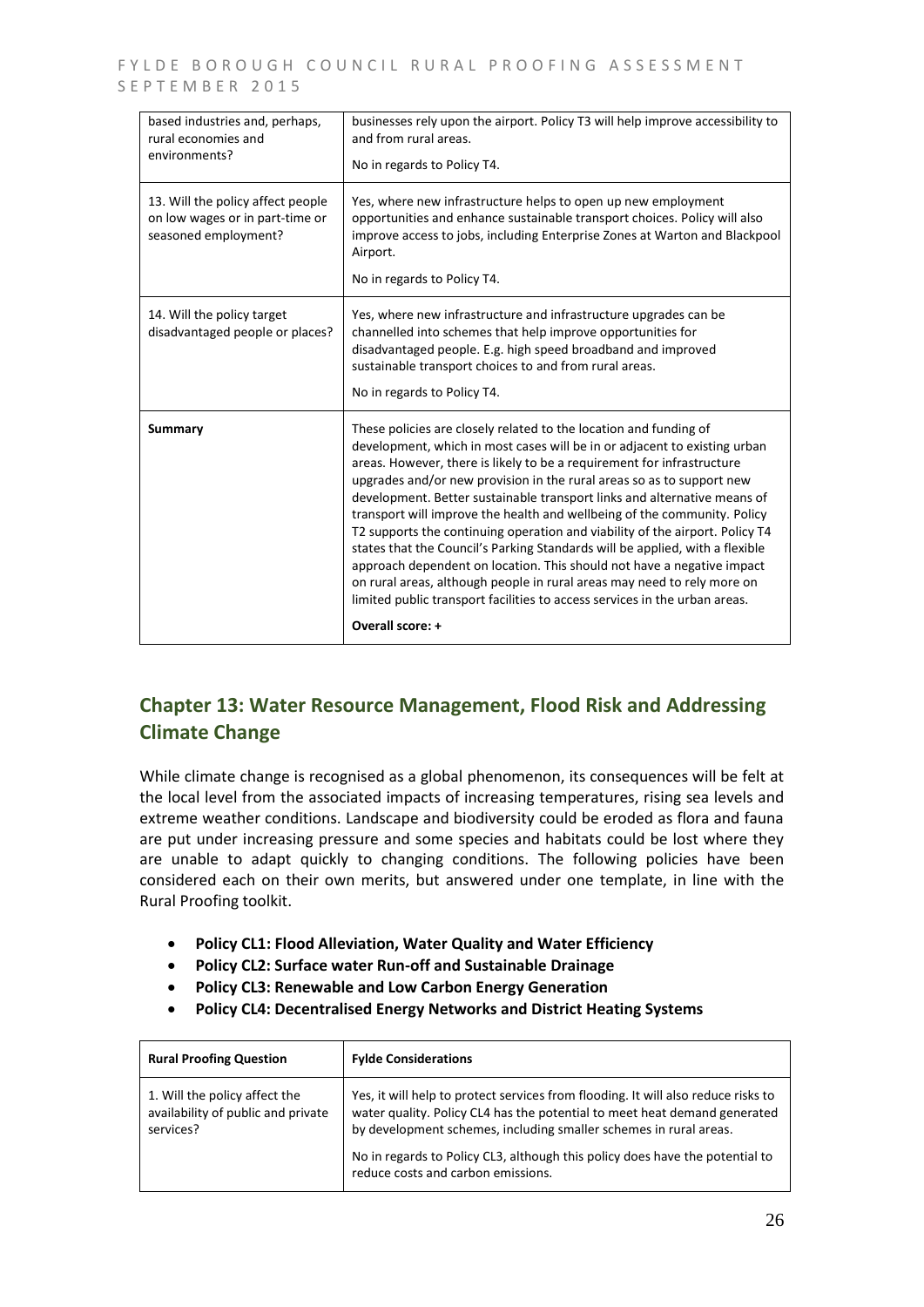| based industries and, perhaps,<br>rural economies and<br>environments?                       | businesses rely upon the airport. Policy T3 will help improve accessibility to<br>and from rural areas.<br>No in regards to Policy T4.                                                                                                                                                                                                                                                                                                                                                                                                                                                                                                                                                                                                                                                                                                                                           |
|----------------------------------------------------------------------------------------------|----------------------------------------------------------------------------------------------------------------------------------------------------------------------------------------------------------------------------------------------------------------------------------------------------------------------------------------------------------------------------------------------------------------------------------------------------------------------------------------------------------------------------------------------------------------------------------------------------------------------------------------------------------------------------------------------------------------------------------------------------------------------------------------------------------------------------------------------------------------------------------|
| 13. Will the policy affect people<br>on low wages or in part-time or<br>seasoned employment? | Yes, where new infrastructure helps to open up new employment<br>opportunities and enhance sustainable transport choices. Policy will also<br>improve access to jobs, including Enterprise Zones at Warton and Blackpool<br>Airport.<br>No in regards to Policy T4.                                                                                                                                                                                                                                                                                                                                                                                                                                                                                                                                                                                                              |
| 14. Will the policy target<br>disadvantaged people or places?                                | Yes, where new infrastructure and infrastructure upgrades can be<br>channelled into schemes that help improve opportunities for<br>disadvantaged people. E.g. high speed broadband and improved<br>sustainable transport choices to and from rural areas.<br>No in regards to Policy T4.                                                                                                                                                                                                                                                                                                                                                                                                                                                                                                                                                                                         |
| <b>Summary</b>                                                                               | These policies are closely related to the location and funding of<br>development, which in most cases will be in or adjacent to existing urban<br>areas. However, there is likely to be a requirement for infrastructure<br>upgrades and/or new provision in the rural areas so as to support new<br>development. Better sustainable transport links and alternative means of<br>transport will improve the health and wellbeing of the community. Policy<br>T2 supports the continuing operation and viability of the airport. Policy T4<br>states that the Council's Parking Standards will be applied, with a flexible<br>approach dependent on location. This should not have a negative impact<br>on rural areas, although people in rural areas may need to rely more on<br>limited public transport facilities to access services in the urban areas.<br>Overall score: + |

## **Chapter 13: Water Resource Management, Flood Risk and Addressing Climate Change**

While climate change is recognised as a global phenomenon, its consequences will be felt at the local level from the associated impacts of increasing temperatures, rising sea levels and extreme weather conditions. Landscape and biodiversity could be eroded as flora and fauna are put under increasing pressure and some species and habitats could be lost where they are unable to adapt quickly to changing conditions. The following policies have been considered each on their own merits, but answered under one template, in line with the Rural Proofing toolkit.

- **Policy CL1: Flood Alleviation, Water Quality and Water Efficiency**
- **Policy CL2: Surface water Run-off and Sustainable Drainage**
- **Policy CL3: Renewable and Low Carbon Energy Generation**
- **Policy CL4: Decentralised Energy Networks and District Heating Systems**

| <b>Rural Proofing Question</b>                                                   | <b>Fylde Considerations</b>                                                                                                                                                                                                                                                                                                                               |
|----------------------------------------------------------------------------------|-----------------------------------------------------------------------------------------------------------------------------------------------------------------------------------------------------------------------------------------------------------------------------------------------------------------------------------------------------------|
| 1. Will the policy affect the<br>availability of public and private<br>services? | Yes, it will help to protect services from flooding. It will also reduce risks to<br>water quality. Policy CL4 has the potential to meet heat demand generated<br>by development schemes, including smaller schemes in rural areas.<br>No in regards to Policy CL3, although this policy does have the potential to<br>reduce costs and carbon emissions. |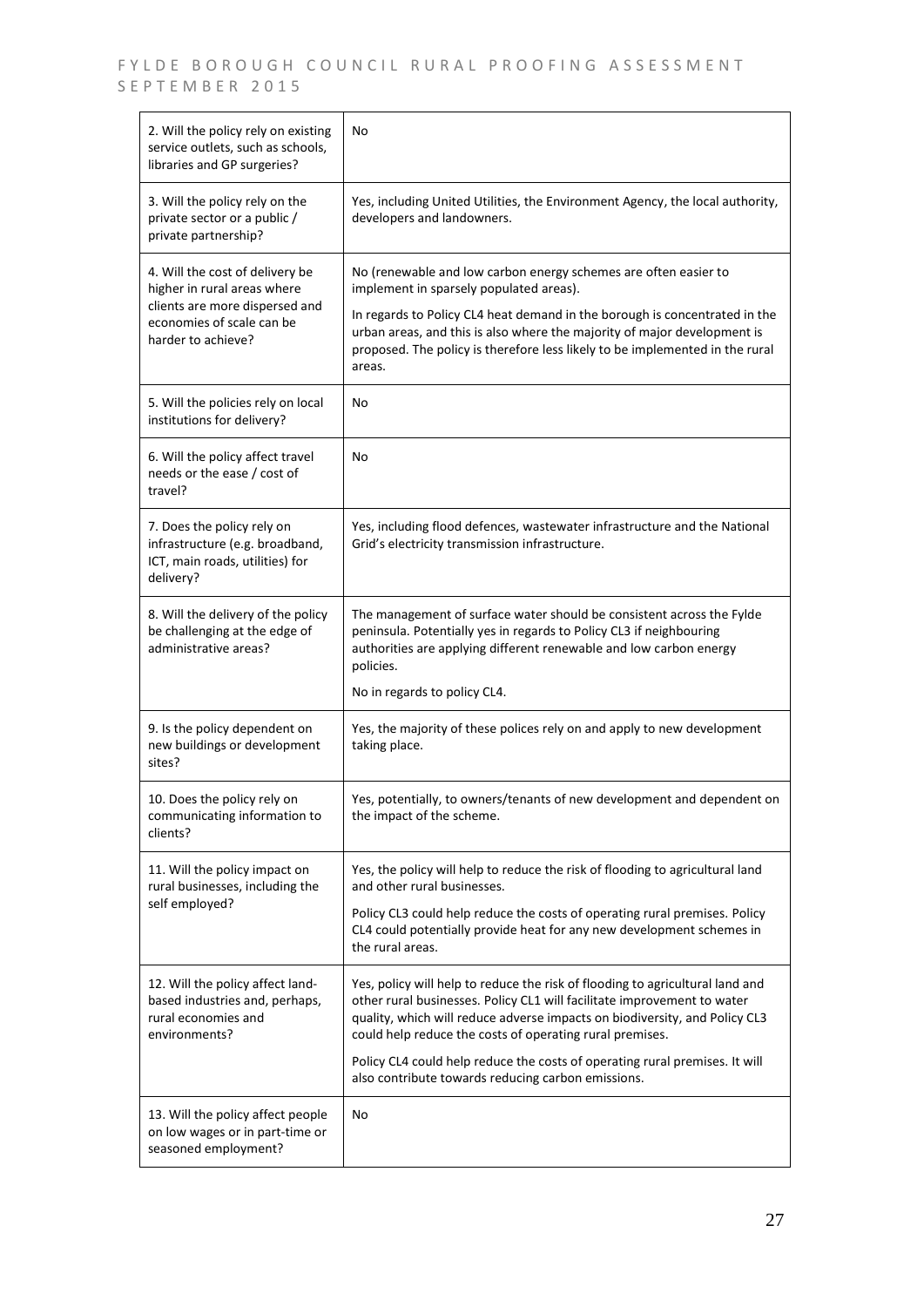| 2. Will the policy rely on existing<br>service outlets, such as schools,<br>libraries and GP surgeries?                                             | No                                                                                                                                                                                                                                                                                                                                                                                                                                      |
|-----------------------------------------------------------------------------------------------------------------------------------------------------|-----------------------------------------------------------------------------------------------------------------------------------------------------------------------------------------------------------------------------------------------------------------------------------------------------------------------------------------------------------------------------------------------------------------------------------------|
| 3. Will the policy rely on the<br>private sector or a public /<br>private partnership?                                                              | Yes, including United Utilities, the Environment Agency, the local authority,<br>developers and landowners.                                                                                                                                                                                                                                                                                                                             |
| 4. Will the cost of delivery be<br>higher in rural areas where<br>clients are more dispersed and<br>economies of scale can be<br>harder to achieve? | No (renewable and low carbon energy schemes are often easier to<br>implement in sparsely populated areas).<br>In regards to Policy CL4 heat demand in the borough is concentrated in the<br>urban areas, and this is also where the majority of major development is<br>proposed. The policy is therefore less likely to be implemented in the rural<br>areas.                                                                          |
| 5. Will the policies rely on local<br>institutions for delivery?                                                                                    | No                                                                                                                                                                                                                                                                                                                                                                                                                                      |
| 6. Will the policy affect travel<br>needs or the ease / cost of<br>travel?                                                                          | No                                                                                                                                                                                                                                                                                                                                                                                                                                      |
| 7. Does the policy rely on<br>infrastructure (e.g. broadband,<br>ICT, main roads, utilities) for<br>delivery?                                       | Yes, including flood defences, wastewater infrastructure and the National<br>Grid's electricity transmission infrastructure.                                                                                                                                                                                                                                                                                                            |
| 8. Will the delivery of the policy<br>be challenging at the edge of<br>administrative areas?                                                        | The management of surface water should be consistent across the Fylde<br>peninsula. Potentially yes in regards to Policy CL3 if neighbouring<br>authorities are applying different renewable and low carbon energy<br>policies.<br>No in regards to policy CL4.                                                                                                                                                                         |
| 9. Is the policy dependent on<br>new buildings or development<br>sites?                                                                             | Yes, the majority of these polices rely on and apply to new development<br>taking place.                                                                                                                                                                                                                                                                                                                                                |
| 10. Does the policy rely on<br>communicating information to<br>clients?                                                                             | Yes, potentially, to owners/tenants of new development and dependent on<br>the impact of the scheme.                                                                                                                                                                                                                                                                                                                                    |
| 11. Will the policy impact on<br>rural businesses, including the<br>self employed?                                                                  | Yes, the policy will help to reduce the risk of flooding to agricultural land<br>and other rural businesses.<br>Policy CL3 could help reduce the costs of operating rural premises. Policy<br>CL4 could potentially provide heat for any new development schemes in<br>the rural areas.                                                                                                                                                 |
| 12. Will the policy affect land-<br>based industries and, perhaps,<br>rural economies and<br>environments?                                          | Yes, policy will help to reduce the risk of flooding to agricultural land and<br>other rural businesses. Policy CL1 will facilitate improvement to water<br>quality, which will reduce adverse impacts on biodiversity, and Policy CL3<br>could help reduce the costs of operating rural premises.<br>Policy CL4 could help reduce the costs of operating rural premises. It will<br>also contribute towards reducing carbon emissions. |
| 13. Will the policy affect people<br>on low wages or in part-time or<br>seasoned employment?                                                        | No                                                                                                                                                                                                                                                                                                                                                                                                                                      |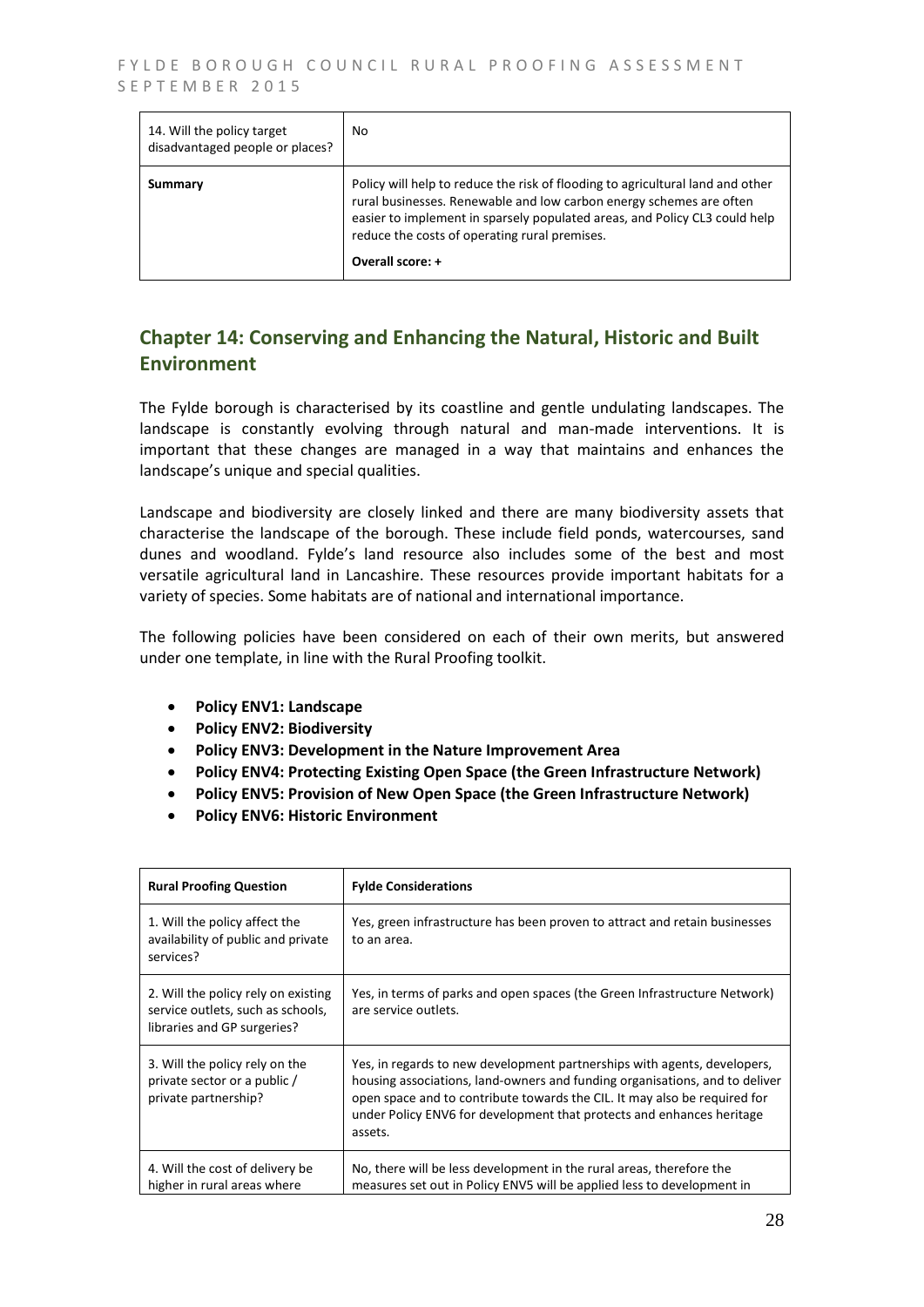| 14. Will the policy target<br>disadvantaged people or places? | No.                                                                                                                                                                                                                                                                                                      |
|---------------------------------------------------------------|----------------------------------------------------------------------------------------------------------------------------------------------------------------------------------------------------------------------------------------------------------------------------------------------------------|
| Summary                                                       | Policy will help to reduce the risk of flooding to agricultural land and other<br>rural businesses. Renewable and low carbon energy schemes are often<br>easier to implement in sparsely populated areas, and Policy CL3 could help<br>reduce the costs of operating rural premises.<br>Overall score: + |

## **Chapter 14: Conserving and Enhancing the Natural, Historic and Built Environment**

The Fylde borough is characterised by its coastline and gentle undulating landscapes. The landscape is constantly evolving through natural and man-made interventions. It is important that these changes are managed in a way that maintains and enhances the landscape's unique and special qualities.

Landscape and biodiversity are closely linked and there are many biodiversity assets that characterise the landscape of the borough. These include field ponds, watercourses, sand dunes and woodland. Fylde's land resource also includes some of the best and most versatile agricultural land in Lancashire. These resources provide important habitats for a variety of species. Some habitats are of national and international importance.

The following policies have been considered on each of their own merits, but answered under one template, in line with the Rural Proofing toolkit.

- **Policy ENV1: Landscape**
- **Policy ENV2: Biodiversity**
- **Policy ENV3: Development in the Nature Improvement Area**
- **Policy ENV4: Protecting Existing Open Space (the Green Infrastructure Network)**
- **Policy ENV5: Provision of New Open Space (the Green Infrastructure Network)**
- **Policy ENV6: Historic Environment**

| <b>Rural Proofing Question</b>                                                                          | <b>Fylde Considerations</b>                                                                                                                                                                                                                                                                                              |
|---------------------------------------------------------------------------------------------------------|--------------------------------------------------------------------------------------------------------------------------------------------------------------------------------------------------------------------------------------------------------------------------------------------------------------------------|
| 1. Will the policy affect the<br>availability of public and private<br>services?                        | Yes, green infrastructure has been proven to attract and retain businesses<br>to an area.                                                                                                                                                                                                                                |
| 2. Will the policy rely on existing<br>service outlets, such as schools,<br>libraries and GP surgeries? | Yes, in terms of parks and open spaces (the Green Infrastructure Network)<br>are service outlets.                                                                                                                                                                                                                        |
| 3. Will the policy rely on the<br>private sector or a public /<br>private partnership?                  | Yes, in regards to new development partnerships with agents, developers,<br>housing associations, land-owners and funding organisations, and to deliver<br>open space and to contribute towards the CIL. It may also be required for<br>under Policy ENV6 for development that protects and enhances heritage<br>assets. |
| 4. Will the cost of delivery be<br>higher in rural areas where                                          | No, there will be less development in the rural areas, therefore the<br>measures set out in Policy ENV5 will be applied less to development in                                                                                                                                                                           |